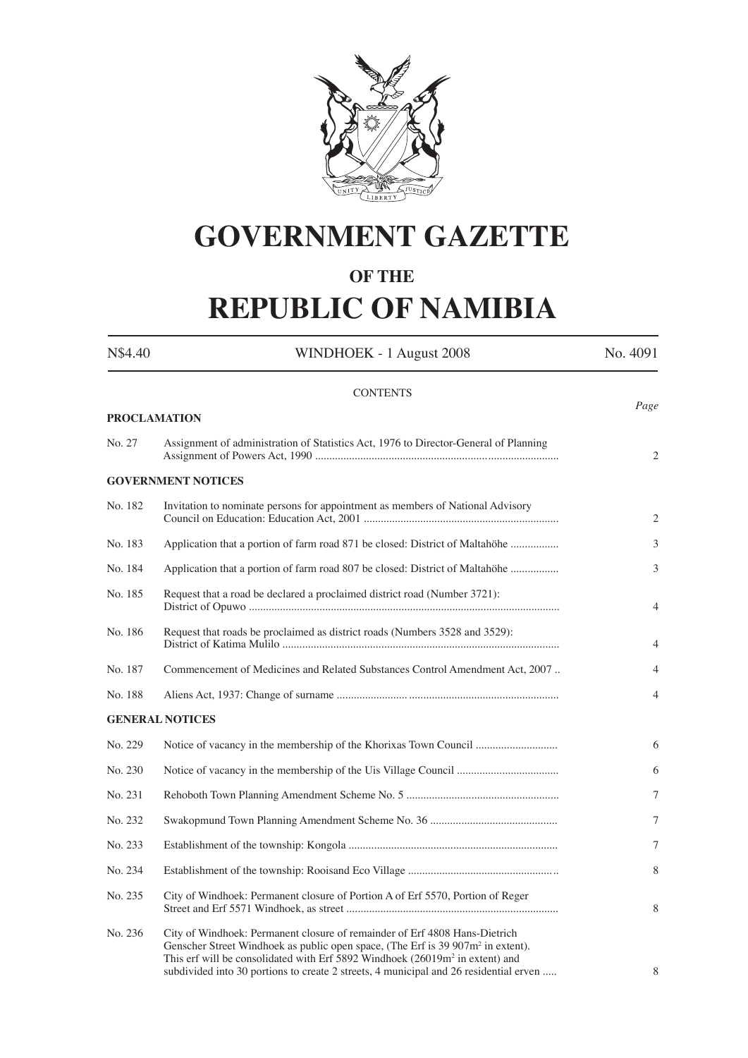

## **GOVERNMENT GAZETTE**

### **OF THE**

# **REPUBLIC OF NAMIBIA**

| N\$4.40             | WINDHOEK - 1 August 2008                                                                                                                                                                                                                                                                                                                                       | No. 4091       |
|---------------------|----------------------------------------------------------------------------------------------------------------------------------------------------------------------------------------------------------------------------------------------------------------------------------------------------------------------------------------------------------------|----------------|
|                     | <b>CONTENTS</b>                                                                                                                                                                                                                                                                                                                                                |                |
| <b>PROCLAMATION</b> |                                                                                                                                                                                                                                                                                                                                                                | Page           |
| No. 27              | Assignment of administration of Statistics Act, 1976 to Director-General of Planning                                                                                                                                                                                                                                                                           | 2              |
|                     | <b>GOVERNMENT NOTICES</b>                                                                                                                                                                                                                                                                                                                                      |                |
| No. 182             | Invitation to nominate persons for appointment as members of National Advisory                                                                                                                                                                                                                                                                                 | 2              |
| No. 183             | Application that a portion of farm road 871 be closed: District of Maltahöhe                                                                                                                                                                                                                                                                                   | 3              |
| No. 184             | Application that a portion of farm road 807 be closed: District of Maltahöhe                                                                                                                                                                                                                                                                                   | 3              |
| No. 185             | Request that a road be declared a proclaimed district road (Number 3721):                                                                                                                                                                                                                                                                                      | $\overline{4}$ |
| No. 186             | Request that roads be proclaimed as district roads (Numbers 3528 and 3529):                                                                                                                                                                                                                                                                                    | 4              |
| No. 187             | Commencement of Medicines and Related Substances Control Amendment Act, 2007                                                                                                                                                                                                                                                                                   | 4              |
| No. 188             |                                                                                                                                                                                                                                                                                                                                                                | $\overline{4}$ |
|                     | <b>GENERAL NOTICES</b>                                                                                                                                                                                                                                                                                                                                         |                |
| No. 229             | Notice of vacancy in the membership of the Khorixas Town Council                                                                                                                                                                                                                                                                                               | 6              |
| No. 230             |                                                                                                                                                                                                                                                                                                                                                                | 6              |
| No. 231             |                                                                                                                                                                                                                                                                                                                                                                | 7              |
| No. 232             |                                                                                                                                                                                                                                                                                                                                                                | 7              |
| No. 233             |                                                                                                                                                                                                                                                                                                                                                                | 7              |
| No. 234             |                                                                                                                                                                                                                                                                                                                                                                | 8              |
| No. 235             | City of Windhoek: Permanent closure of Portion A of Erf 5570, Portion of Reger                                                                                                                                                                                                                                                                                 | 8              |
| No. 236             | City of Windhoek: Permanent closure of remainder of Erf 4808 Hans-Dietrich<br>Genscher Street Windhoek as public open space, (The Erf is 39 907m <sup>2</sup> in extent).<br>This erf will be consolidated with Erf 5892 Windhoek (26019m <sup>2</sup> in extent) and<br>subdivided into 30 portions to create 2 streets, 4 municipal and 26 residential erven | 8              |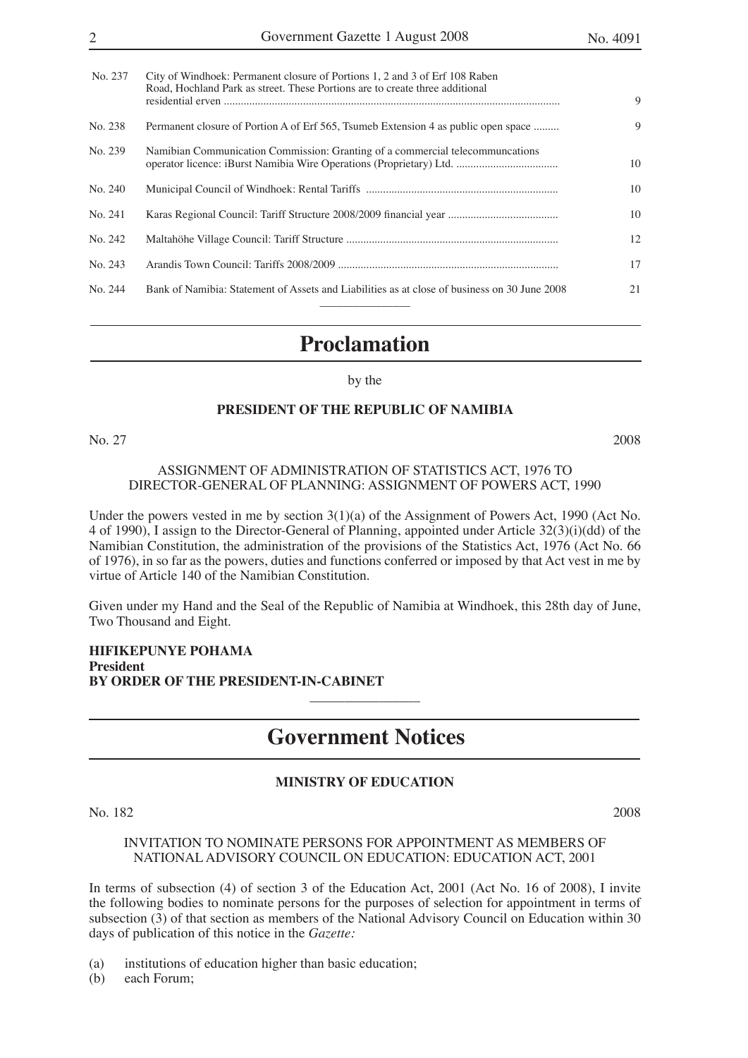| No. 237 | City of Windhoek: Permanent closure of Portions 1, 2 and 3 of Erf 108 Raben<br>Road, Hochland Park as street. These Portions are to create three additional | 9  |
|---------|-------------------------------------------------------------------------------------------------------------------------------------------------------------|----|
| No. 238 | Permanent closure of Portion A of Erf 565, Tsumeb Extension 4 as public open space                                                                          | 9  |
| No. 239 | Namibian Communication Commission: Granting of a commercial telecommuncations                                                                               | 10 |
| No. 240 |                                                                                                                                                             | 10 |
| No. 241 |                                                                                                                                                             | 10 |
| No. 242 |                                                                                                                                                             | 12 |
| No. 243 |                                                                                                                                                             | 17 |
| No. 244 | Bank of Namibia: Statement of Assets and Liabilities as at close of business on 30 June 2008                                                                | 21 |
|         |                                                                                                                                                             |    |

### **Proclamation**

#### by the

#### **PRESIDENT OF THE REPUBLIC OF NAMIBIA**

No. 27 2008

#### ASSIGNMENT OF ADMINISTRATION OF STATISTICS ACT, 1976 TO DIRECTOR-GENERAL OF PLANNING: ASSIGNMENT OF POWERS ACT, 1990

Under the powers vested in me by section 3(1)(a) of the Assignment of Powers Act, 1990 (Act No. 4 of 1990), I assign to the Director-General of Planning, appointed under Article 32(3)(i)(dd) of the Namibian Constitution, the administration of the provisions of the Statistics Act, 1976 (Act No. 66 of 1976), in so far as the powers, duties and functions conferred or imposed by that Act vest in me by virtue of Article 140 of the Namibian Constitution.

Given under my Hand and the Seal of the Republic of Namibia at Windhoek, this 28th day of June, Two Thousand and Eight.

**HIFIKEPUNYE POHAMA President BY ORDER OF THE PRESIDENT-IN-CABINET**  $\overline{\phantom{a}}$  , where  $\overline{\phantom{a}}$ 

### **Government Notices**

#### **MINISTRY OF EDUCATION**

No. 182 2008

#### INVITATION TO NOMINATE PERSONS FOR APPOINTMENT AS MEMBERS OF NATIONAL ADVISORY COUNCIL ON EDUCATION: EDUCATION ACT, 2001

In terms of subsection (4) of section 3 of the Education Act, 2001 (Act No. 16 of 2008), I invite the following bodies to nominate persons for the purposes of selection for appointment in terms of subsection (3) of that section as members of the National Advisory Council on Education within 30 days of publication of this notice in the *Gazette:*

(a) institutions of education higher than basic education;

(b) each Forum;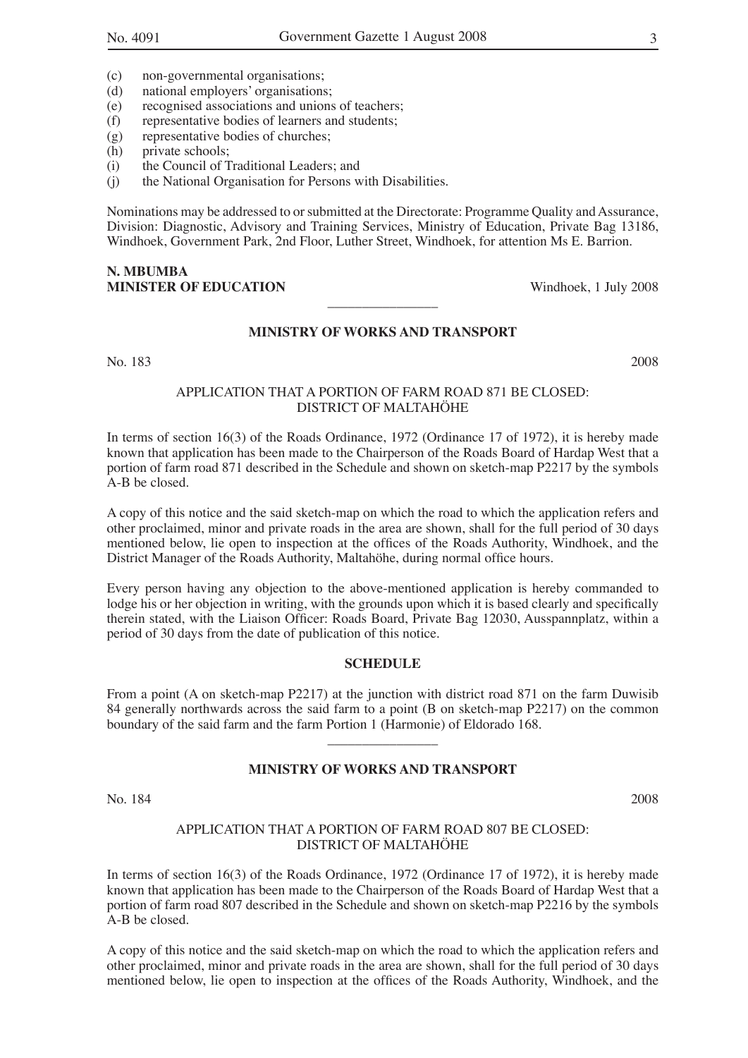- (c) non-governmental organisations;
- (d) national employers' organisations;<br>(e) recognised associations and unions
- (e) recognised associations and unions of teachers;<br>(f) representative bodies of learners and students;
- representative bodies of learners and students;
- (g) representative bodies of churches;
- (h) private schools;
- (i) the Council of Traditional Leaders; and
- (j) the National Organisation for Persons with Disabilities.

Nominations may be addressed to or submitted at the Directorate: Programme Quality and Assurance, Division: Diagnostic, Advisory and Training Services, Ministry of Education, Private Bag 13186, Windhoek, Government Park, 2nd Floor, Luther Street, Windhoek, for attention Ms E. Barrion.

#### **N. MBUMBA MINISTER OF EDUCATION** Windhoek, 1 July 2008

#### **MINISTRY OF WORKS AND TRANSPORT**

 $\overline{\phantom{a}}$  , where  $\overline{\phantom{a}}$ 

No. 183 2008

#### APPLICATION THAT A PORTION OF FARM ROAD 871 BE CLOSED: DISTRICT OF MALTAHÖHE

In terms of section 16(3) of the Roads Ordinance, 1972 (Ordinance 17 of 1972), it is hereby made known that application has been made to the Chairperson of the Roads Board of Hardap West that a portion of farm road 871 described in the Schedule and shown on sketch-map P2217 by the symbols A-B be closed.

A copy of this notice and the said sketch-map on which the road to which the application refers and other proclaimed, minor and private roads in the area are shown, shall for the full period of 30 days mentioned below, lie open to inspection at the offices of the Roads Authority, Windhoek, and the District Manager of the Roads Authority, Maltahöhe, during normal office hours.

Every person having any objection to the above-mentioned application is hereby commanded to lodge his or her objection in writing, with the grounds upon which it is based clearly and specifically therein stated, with the Liaison Officer: Roads Board, Private Bag 12030, Ausspannplatz, within a period of 30 days from the date of publication of this notice.

#### **SCHEDULE**

From a point (A on sketch-map P2217) at the junction with district road 871 on the farm Duwisib 84 generally northwards across the said farm to a point (B on sketch-map P2217) on the common boundary of the said farm and the farm Portion 1 (Harmonie) of Eldorado 168.

#### **MINISTRY OF WORKS AND TRANSPORT**

 $\overline{\phantom{a}}$  , where  $\overline{\phantom{a}}$ 

No. 184 2008

#### APPLICATION THAT A PORTION OF FARM ROAD 807 BE CLOSED: DISTRICT OF MALTAHÖHE

In terms of section 16(3) of the Roads Ordinance, 1972 (Ordinance 17 of 1972), it is hereby made known that application has been made to the Chairperson of the Roads Board of Hardap West that a portion of farm road 807 described in the Schedule and shown on sketch-map P2216 by the symbols A-B be closed.

A copy of this notice and the said sketch-map on which the road to which the application refers and other proclaimed, minor and private roads in the area are shown, shall for the full period of 30 days mentioned below, lie open to inspection at the offices of the Roads Authority, Windhoek, and the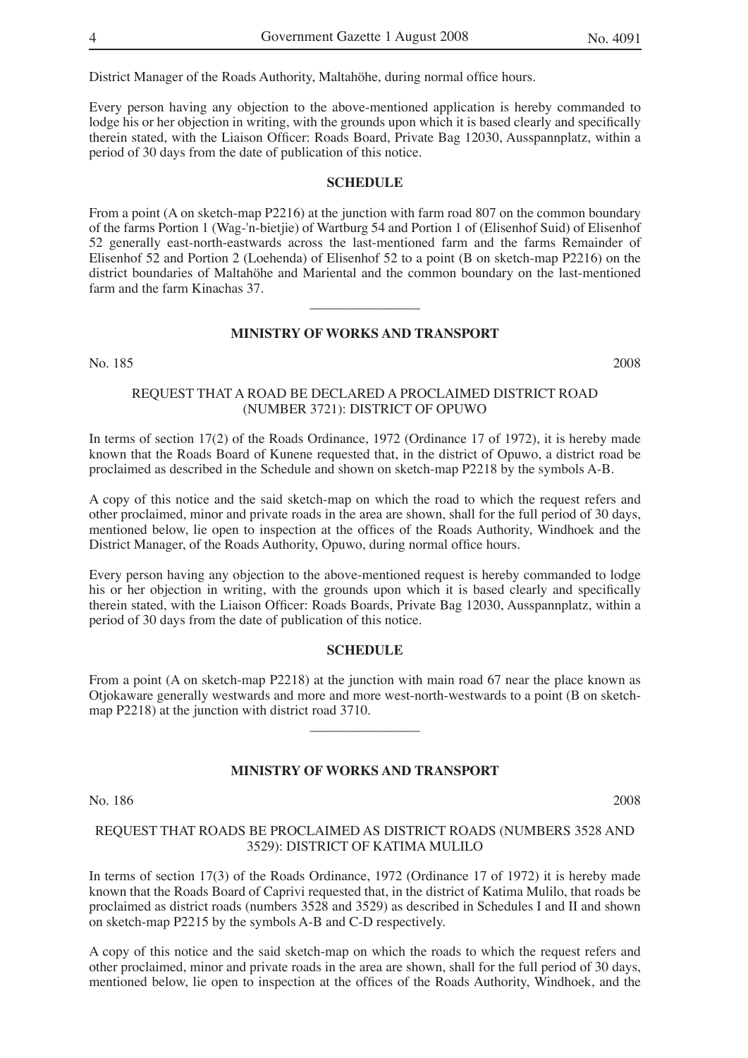District Manager of the Roads Authority, Maltahöhe, during normal office hours.

Every person having any objection to the above-mentioned application is hereby commanded to lodge his or her objection in writing, with the grounds upon which it is based clearly and specifically therein stated, with the Liaison Officer: Roads Board, Private Bag 12030, Ausspannplatz, within a period of 30 days from the date of publication of this notice.

#### **SCHEDULE**

From a point (A on sketch-map P2216) at the junction with farm road 807 on the common boundary of the farms Portion 1 (Wag-'n-bietjie) of Wartburg 54 and Portion 1 of (Elisenhof Suid) of Elisenhof 52 generally east-north-eastwards across the last-mentioned farm and the farms Remainder of Elisenhof 52 and Portion 2 (Loehenda) of Elisenhof 52 to a point (B on sketch-map P2216) on the district boundaries of Maltahöhe and Mariental and the common boundary on the last-mentioned farm and the farm Kinachas 37.

#### **MINISTRY OF WORKS AND TRANSPORT**

 $\overline{\phantom{a}}$  , where  $\overline{\phantom{a}}$ 

No. 185 2008

#### REQUEST THAT A ROAD BE DECLARED A PROCLAIMED DISTRICT ROAD (NUMBER 3721): DISTRICT OF OPUWO

In terms of section 17(2) of the Roads Ordinance, 1972 (Ordinance 17 of 1972), it is hereby made known that the Roads Board of Kunene requested that, in the district of Opuwo, a district road be proclaimed as described in the Schedule and shown on sketch-map P2218 by the symbols A-B.

A copy of this notice and the said sketch-map on which the road to which the request refers and other proclaimed, minor and private roads in the area are shown, shall for the full period of 30 days, mentioned below, lie open to inspection at the offices of the Roads Authority, Windhoek and the District Manager, of the Roads Authority, Opuwo, during normal office hours.

Every person having any objection to the above-mentioned request is hereby commanded to lodge his or her objection in writing, with the grounds upon which it is based clearly and specifically therein stated, with the Liaison Officer: Roads Boards, Private Bag 12030, Ausspannplatz, within a period of 30 days from the date of publication of this notice.

#### **SCHEDULE**

From a point (A on sketch-map P2218) at the junction with main road 67 near the place known as Otjokaware generally westwards and more and more west-north-westwards to a point (B on sketchmap P2218) at the junction with district road 3710.

 $\overline{\phantom{a}}$  , where  $\overline{\phantom{a}}$ 

#### **MINISTRY OF WORKS AND TRANSPORT**

No. 186 2008

#### REQUEST THAT ROADS BE PROCLAIMED AS DISTRICT ROADS (NUMBERS 3528 AND 3529): DISTRICT OF KATIMA MULILO

In terms of section 17(3) of the Roads Ordinance, 1972 (Ordinance 17 of 1972) it is hereby made known that the Roads Board of Caprivi requested that, in the district of Katima Mulilo, that roads be proclaimed as district roads (numbers 3528 and 3529) as described in Schedules I and II and shown on sketch-map P2215 by the symbols A-B and C-D respectively.

A copy of this notice and the said sketch-map on which the roads to which the request refers and other proclaimed, minor and private roads in the area are shown, shall for the full period of 30 days, mentioned below, lie open to inspection at the offices of the Roads Authority, Windhoek, and the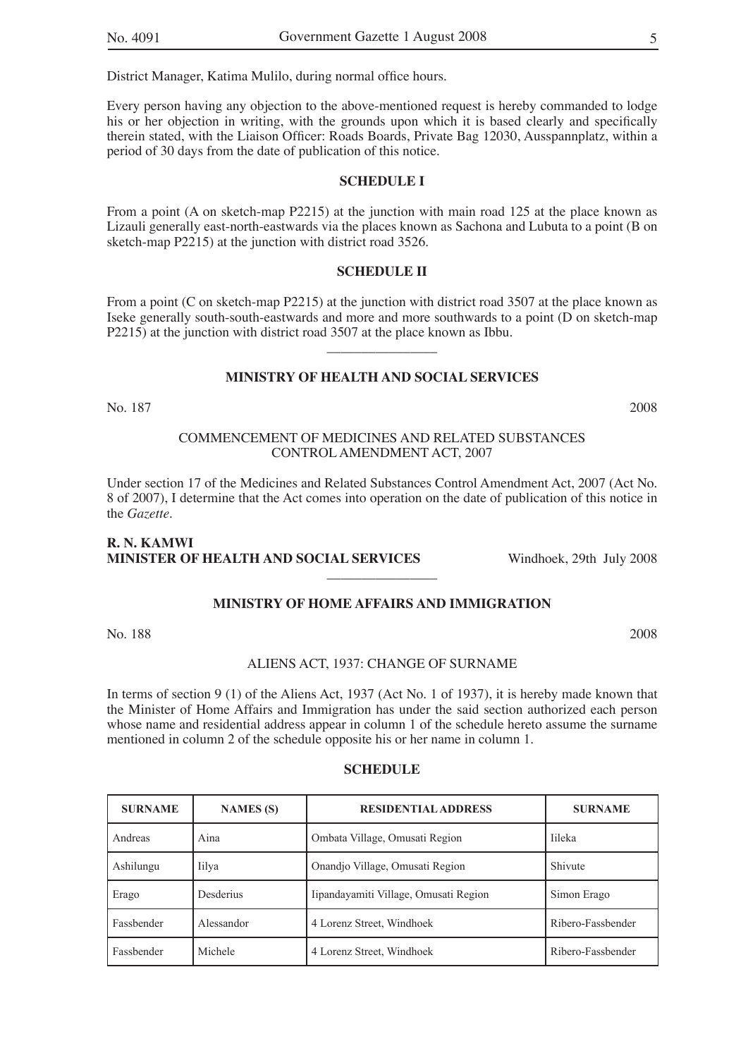District Manager, Katima Mulilo, during normal office hours.

Every person having any objection to the above-mentioned request is hereby commanded to lodge his or her objection in writing, with the grounds upon which it is based clearly and specifically therein stated, with the Liaison Officer: Roads Boards, Private Bag 12030, Ausspannplatz, within a period of 30 days from the date of publication of this notice.

#### **SCHEDULE I**

From a point (A on sketch-map P2215) at the junction with main road 125 at the place known as Lizauli generally east-north-eastwards via the places known as Sachona and Lubuta to a point (B on sketch-map P2215) at the junction with district road 3526.

#### **SCHEDULE II**

From a point (C on sketch-map P2215) at the junction with district road 3507 at the place known as Iseke generally south-south-eastwards and more and more southwards to a point (D on sketch-map P2215) at the junction with district road 3507 at the place known as Ibbu.

 $\overline{\phantom{a}}$  , where  $\overline{\phantom{a}}$ 

#### **MINISTRY OF HEALTH AND SOCIAL SERVICES**

No. 187 2008

#### COMMENCEMENT OF MEDICINES AND RELATED SUBSTANCES CONTROL AMENDMENT ACT, 2007

Under section 17 of the Medicines and Related Substances Control Amendment Act, 2007 (Act No. 8 of 2007), I determine that the Act comes into operation on the date of publication of this notice in the *Gazette*.

 $\overline{\phantom{a}}$  , where  $\overline{\phantom{a}}$ 

**MINISTRY OF HOME AFFAIRS AND IMMIGRATION**

#### **R. N. KAMWI MINISTER OF HEALTH AND SOCIAL SERVICES** Windhoek, 29th July 2008

No. 188 2008

#### ALIENS ACT, 1937: CHANGE OF SURNAME

In terms of section 9 (1) of the Aliens Act, 1937 (Act No. 1 of 1937), it is hereby made known that the Minister of Home Affairs and Immigration has under the said section authorized each person whose name and residential address appear in column 1 of the schedule hereto assume the surname mentioned in column 2 of the schedule opposite his or her name in column 1.

| <b>SURNAME</b> | <b>NAMES</b> (S) | <b>RESIDENTIAL ADDRESS</b>            | <b>SURNAME</b>    |
|----------------|------------------|---------------------------------------|-------------------|
| Andreas        | Aina             | Ombata Village, Omusati Region        | <b>Tileka</b>     |
| Ashilungu      | Iilya            | Onandjo Village, Omusati Region       | Shivute           |
| Erago          | Desderius        | Iipandayamiti Village, Omusati Region | Simon Erago       |
| Fassbender     | Alessandor       | 4 Lorenz Street, Windhoek             | Ribero-Fassbender |
| Fassbender     | Michele          | 4 Lorenz Street, Windhoek             | Ribero-Fassbender |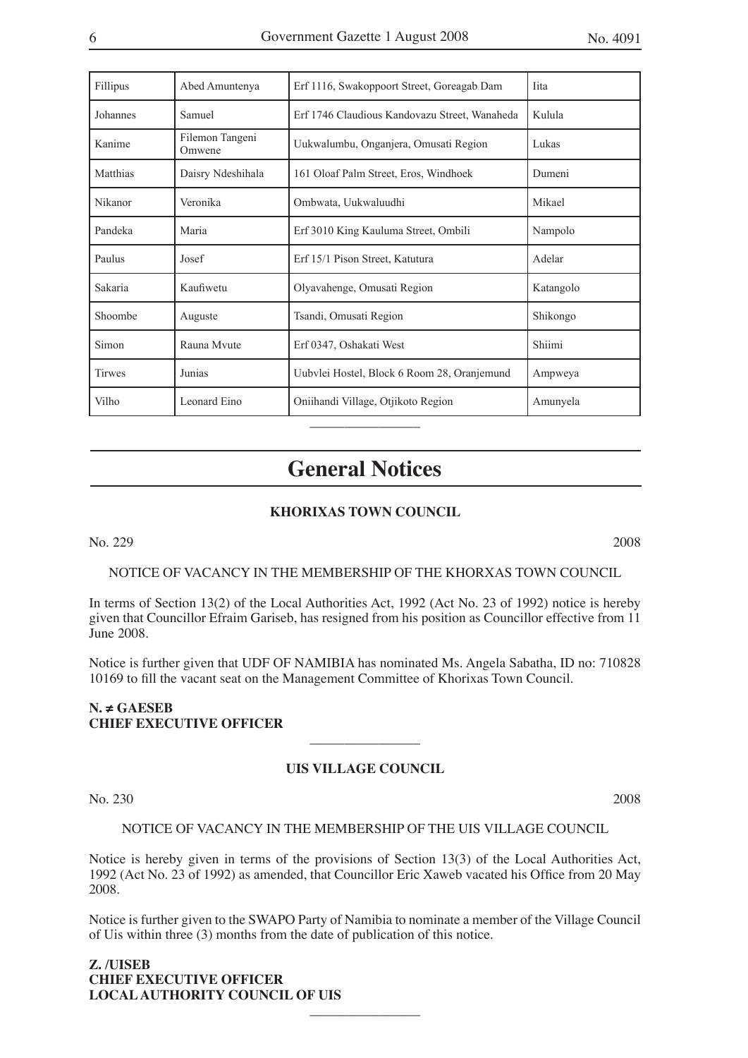| Fillipus      | Abed Amuntenya            | Erf 1116, Swakoppoort Street, Goreagab Dam    | <b>Tita</b> |
|---------------|---------------------------|-----------------------------------------------|-------------|
| Johannes      | Samuel                    | Erf 1746 Claudious Kandovazu Street, Wanaheda | Kulula      |
| Kanime        | Filemon Tangeni<br>Omwene | Uukwalumbu, Onganjera, Omusati Region         | Lukas       |
| Matthias      | Daisry Ndeshihala         | 161 Oloaf Palm Street, Eros, Windhoek         | Dumeni      |
| Nikanor       | Veronika                  | Ombwata, Uukwaluudhi                          | Mikael      |
| Pandeka       | Maria                     | Erf 3010 King Kauluma Street, Ombili          | Nampolo     |
| Paulus        | Josef                     | Erf 15/1 Pison Street, Katutura               | Adelar      |
| Sakaria       | Kaufiwetu                 | Olyavahenge, Omusati Region                   | Katangolo   |
| Shoombe       | Auguste                   | Tsandi, Omusati Region                        | Shikongo    |
| Simon         | Rauna Myute               | Erf 0347, Oshakati West                       | Shiimi      |
| <b>Tirwes</b> | Junias                    | Uubvlei Hostel, Block 6 Room 28, Oranjemund   | Ampweya     |
| Vilho         | Leonard Eino              | Oniihandi Village, Otjikoto Region            | Amunyela    |

## **General Notices**

#### **KHORIXAS TOWN COUNCIL**

No. 229 2008

#### NOTICE OF VACANCY IN THE MEMBERSHIP OF THE KHORXAS TOWN COUNCIL

In terms of Section 13(2) of the Local Authorities Act, 1992 (Act No. 23 of 1992) notice is hereby given that Councillor Efraim Gariseb, has resigned from his position as Councillor effective from 11 June 2008.

Notice is further given that UDF OF NAMIBIA has nominated Ms. Angela Sabatha, ID no: 710828 10169 to fill the vacant seat on the Management Committee of Khorixas Town Council.

#### **N. ≠ GAESEB CHIEF EXECUTIVE OFFICER**

#### **UIS VILLAGE COUNCIL**

 $\overline{\phantom{a}}$  , where  $\overline{\phantom{a}}$ 

No. 230 2008

#### NOTICE OF VACANCY IN THE MEMBERSHIP OF THE UIS VILLAGE COUNCIL

Notice is hereby given in terms of the provisions of Section 13(3) of the Local Authorities Act, 1992 (Act No. 23 of 1992) as amended, that Councillor Eric Xaweb vacated his Office from 20 May 2008.

Notice is further given to the SWAPO Party of Namibia to nominate a member of the Village Council of Uis within three (3) months from the date of publication of this notice.

 $\overline{\phantom{a}}$  , where  $\overline{\phantom{a}}$ 

**Z. /UISEB CHIEF EXECUTIVE OFFICER LOCAL AUTHORITY COUNCIL OF UIS**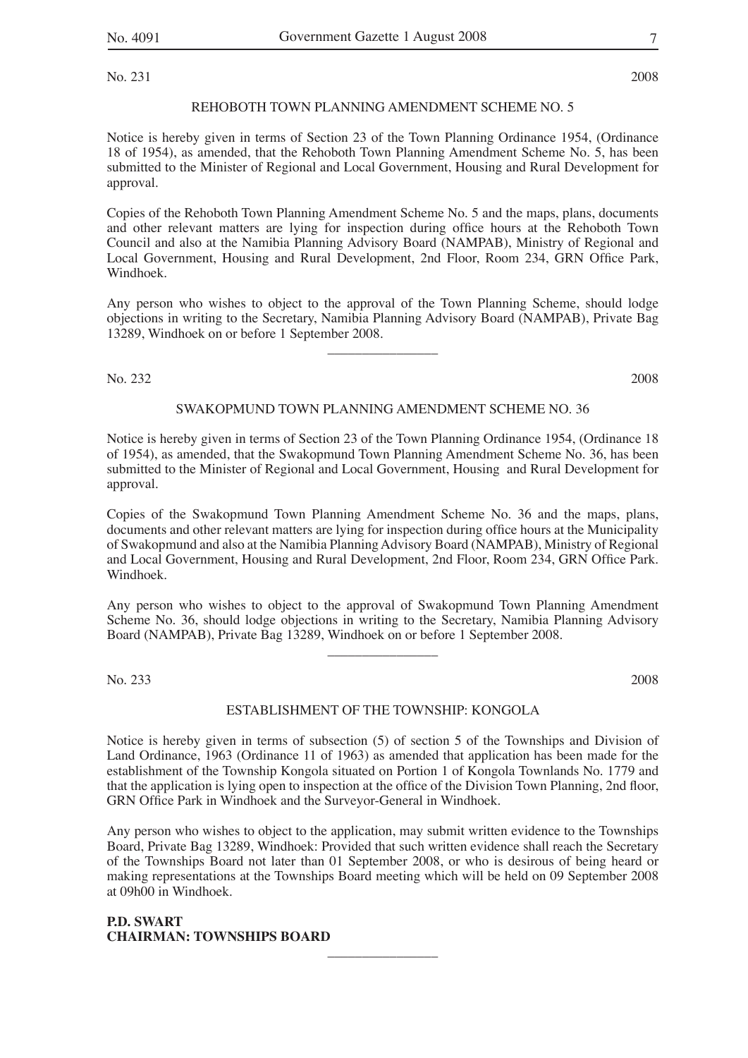No. 231 2008

#### REHOBOTH TOWN PLANNING AMENDMENT SCHEME NO. 5

Notice is hereby given in terms of Section 23 of the Town Planning Ordinance 1954, (Ordinance 18 of 1954), as amended, that the Rehoboth Town Planning Amendment Scheme No. 5, has been submitted to the Minister of Regional and Local Government, Housing and Rural Development for approval.

Copies of the Rehoboth Town Planning Amendment Scheme No. 5 and the maps, plans, documents and other relevant matters are lying for inspection during office hours at the Rehoboth Town Council and also at the Namibia Planning Advisory Board (NAMPAB), Ministry of Regional and Local Government, Housing and Rural Development, 2nd Floor, Room 234, GRN Office Park, Windhoek.

Any person who wishes to object to the approval of the Town Planning Scheme, should lodge objections in writing to the Secretary, Namibia Planning Advisory Board (NAMPAB), Private Bag 13289, Windhoek on or before 1 September 2008.

 $\overline{\phantom{a}}$  , where  $\overline{\phantom{a}}$ 

No. 232 2008

#### SWAKOPMUND TOWN PLANNING AMENDMENT SCHEME NO. 36

Notice is hereby given in terms of Section 23 of the Town Planning Ordinance 1954, (Ordinance 18 of 1954), as amended, that the Swakopmund Town Planning Amendment Scheme No. 36, has been submitted to the Minister of Regional and Local Government, Housing and Rural Development for approval.

Copies of the Swakopmund Town Planning Amendment Scheme No. 36 and the maps, plans, documents and other relevant matters are lying for inspection during office hours at the Municipality of Swakopmund and also at the Namibia Planning Advisory Board (NAMPAB), Ministry of Regional and Local Government, Housing and Rural Development, 2nd Floor, Room 234, GRN Office Park. Windhoek.

Any person who wishes to object to the approval of Swakopmund Town Planning Amendment Scheme No. 36, should lodge objections in writing to the Secretary, Namibia Planning Advisory Board (NAMPAB), Private Bag 13289, Windhoek on or before 1 September 2008.

 $\overline{\phantom{a}}$  , where  $\overline{\phantom{a}}$ 

No. 233 2008

#### ESTABLISHMENT OF THE TOWNSHIP: KONGOLA

Notice is hereby given in terms of subsection (5) of section 5 of the Townships and Division of Land Ordinance, 1963 (Ordinance 11 of 1963) as amended that application has been made for the establishment of the Township Kongola situated on Portion 1 of Kongola Townlands No. 1779 and that the application is lying open to inspection at the office of the Division Town Planning, 2nd floor, GRN Office Park in Windhoek and the Surveyor-General in Windhoek.

Any person who wishes to object to the application, may submit written evidence to the Townships Board, Private Bag 13289, Windhoek: Provided that such written evidence shall reach the Secretary of the Townships Board not later than 01 September 2008, or who is desirous of being heard or making representations at the Townships Board meeting which will be held on 09 September 2008 at 09h00 in Windhoek.

 $\overline{\phantom{a}}$  , where  $\overline{\phantom{a}}$ 

#### **P.D. SWART CHAIRMAN: TOWNSHIPS BOARD**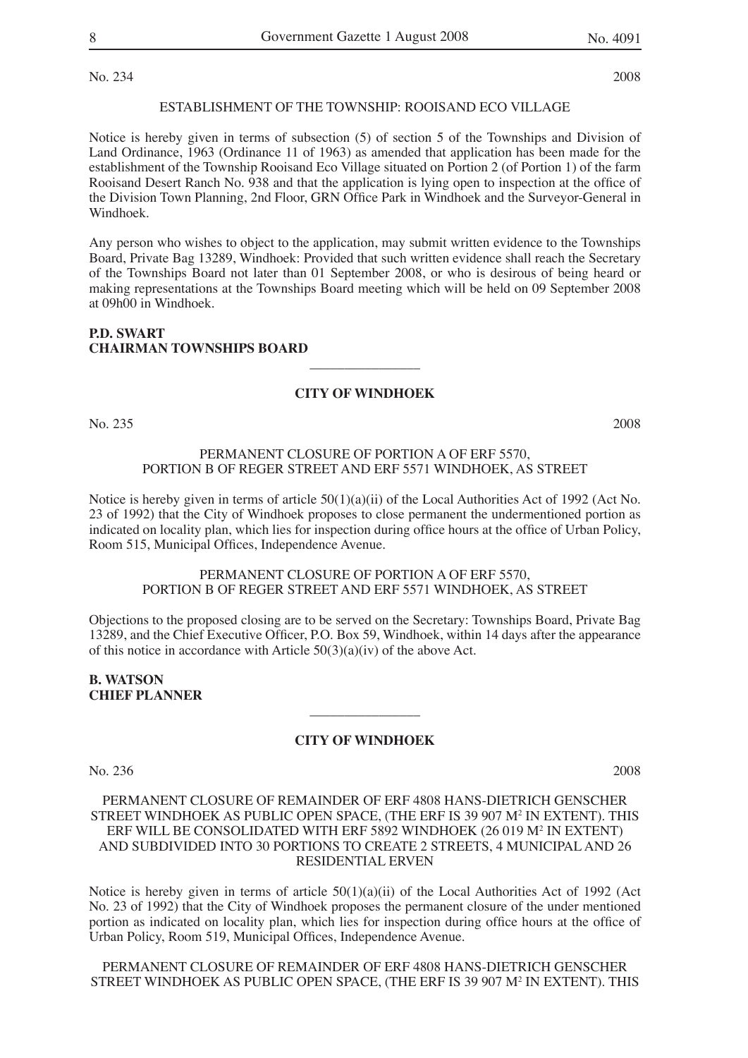No. 234 2008

#### ESTABLISHMENT OF THE TOWNSHIP: ROOISAND ECO VILLAGE

Notice is hereby given in terms of subsection (5) of section 5 of the Townships and Division of Land Ordinance, 1963 (Ordinance 11 of 1963) as amended that application has been made for the establishment of the Township Rooisand Eco Village situated on Portion 2 (of Portion 1) of the farm Rooisand Desert Ranch No. 938 and that the application is lying open to inspection at the office of the Division Town Planning, 2nd Floor, GRN Office Park in Windhoek and the Surveyor-General in Windhoek.

Any person who wishes to object to the application, may submit written evidence to the Townships Board, Private Bag 13289, Windhoek: Provided that such written evidence shall reach the Secretary of the Townships Board not later than 01 September 2008, or who is desirous of being heard or making representations at the Townships Board meeting which will be held on 09 September 2008 at 09h00 in Windhoek.

#### **P.D. SWART CHAIRMAN TOWNSHIPS BOARD**

#### **CITY OF WINDHOEK**

 $\overline{\phantom{a}}$  , where  $\overline{\phantom{a}}$ 

No. 235 2008

#### PERMANENT CLOSURE OF PORTION A OF ERF 5570, PORTION B OF REGER STREET AND ERF 5571 WINDHOEK, AS STREET

Notice is hereby given in terms of article  $50(1)(a)(ii)$  of the Local Authorities Act of 1992 (Act No. 23 of 1992) that the City of Windhoek proposes to close permanent the undermentioned portion as indicated on locality plan, which lies for inspection during office hours at the office of Urban Policy, Room 515, Municipal Offices, Independence Avenue.

#### PERMANENT CLOSURE OF PORTION A OF ERF 5570, PORTION B OF REGER STREET AND ERF 5571 WINDHOEK, AS STREET

Objections to the proposed closing are to be served on the Secretary: Townships Board, Private Bag 13289, and the Chief Executive Officer, P.O. Box 59, Windhoek, within 14 days after the appearance of this notice in accordance with Article  $50(3)(a)(iv)$  of the above Act.

#### **B. WATSON CHIEF PLANNER**

#### **CITY OF WINDHOEK**

 $\overline{\phantom{a}}$  , where  $\overline{\phantom{a}}$ 

No. 236 2008

#### PERMANENT CLOSURE OF REMAINDER OF ERF 4808 HANS-DIETRICH GENSCHER STREET WINDHOEK AS PUBLIC OPEN SPACE, (THE ERF IS 39 907 M2 IN EXTENT). THIS ERF WILL BE CONSOLIDATED WITH ERF 5892 WINDHOEK (26 019 M2 IN EXTENT) AND SUBDIVIDED INTO 30 PORTIONS TO CREATE 2 STREETS, 4 MUNICIPAL AND 26 RESIDENTIAL ERVEN

Notice is hereby given in terms of article  $50(1)(a)(ii)$  of the Local Authorities Act of 1992 (Act No. 23 of 1992) that the City of Windhoek proposes the permanent closure of the under mentioned portion as indicated on locality plan, which lies for inspection during office hours at the office of Urban Policy, Room 519, Municipal Offices, Independence Avenue.

PERMANENT CLOSURE OF REMAINDER OF ERF 4808 HANS-DIETRICH GENSCHER STREET WINDHOEK AS PUBLIC OPEN SPACE, (THE ERF IS 39 907 M2 IN EXTENT). THIS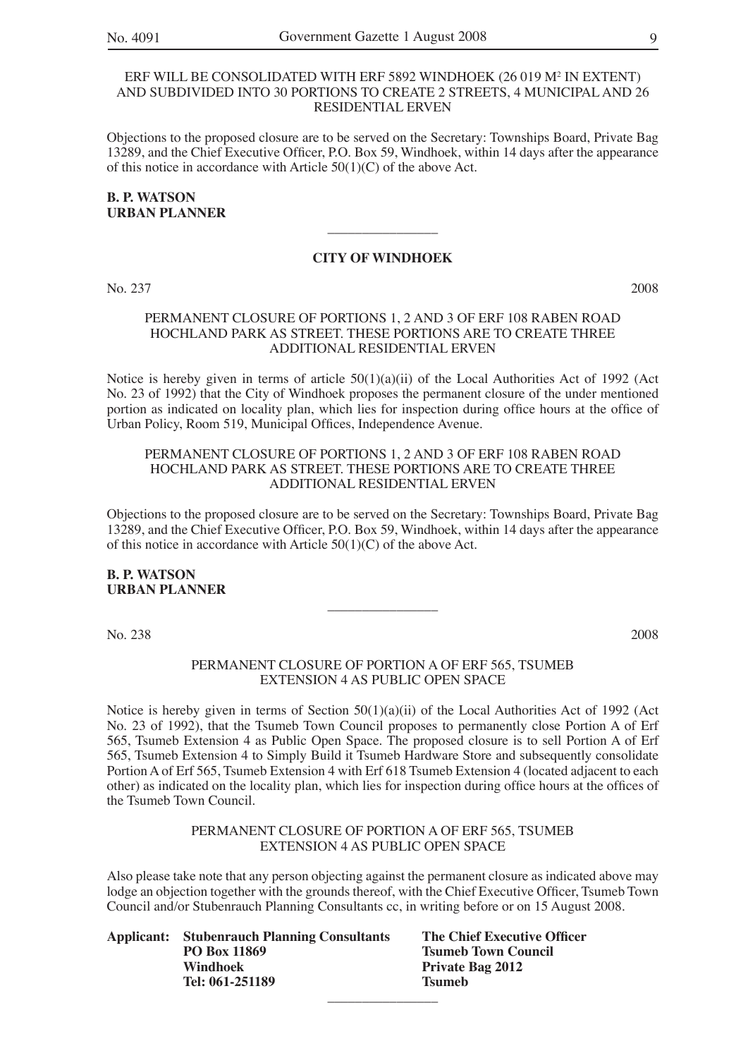#### ERF WILL BE CONSOLIDATED WITH ERF 5892 WINDHOEK (26 019 M2 IN EXTENT) AND SUBDIVIDED INTO 30 PORTIONS TO CREATE 2 STREETS, 4 MUNICIPAL AND 26 RESIDENTIAL ERVEN

Objections to the proposed closure are to be served on the Secretary: Townships Board, Private Bag 13289, and the Chief Executive Officer, P.O. Box 59, Windhoek, within 14 days after the appearance of this notice in accordance with Article  $50(1)(C)$  of the above Act.

#### **B. P. WATSON URBAN PLANNER**

#### **CITY OF WINDHOEK**

 $\overline{\phantom{a}}$  , where  $\overline{\phantom{a}}$ 

No. 237 2008

#### PERMANENT CLOSURE OF PORTIONS 1, 2 AND 3 OF ERF 108 RABEN ROAD HOCHLAND PARK AS STREET. THESE PORTIONS ARE TO CREATE THREE ADDITIONAL RESIDENTIAL ERVEN

Notice is hereby given in terms of article 50(1)(a)(ii) of the Local Authorities Act of 1992 (Act No. 23 of 1992) that the City of Windhoek proposes the permanent closure of the under mentioned portion as indicated on locality plan, which lies for inspection during office hours at the office of Urban Policy, Room 519, Municipal Offices, Independence Avenue.

#### PERMANENT CLOSURE OF PORTIONS 1, 2 AND 3 OF ERF 108 RABEN ROAD HOCHLAND PARK AS STREET. THESE PORTIONS ARE TO CREATE THREE ADDITIONAL RESIDENTIAL ERVEN

Objections to the proposed closure are to be served on the Secretary: Townships Board, Private Bag 13289, and the Chief Executive Officer, P.O. Box 59, Windhoek, within 14 days after the appearance of this notice in accordance with Article 50(1)(C) of the above Act.

 $\overline{\phantom{a}}$  , where  $\overline{\phantom{a}}$ 

#### **B. P. WATSON URBAN PLANNER**

No. 238 2008

#### PERMANENT CLOSURE OF PORTION A OF ERF 565, TSUMEB EXTENSION 4 AS PUBLIC OPEN SPACE

Notice is hereby given in terms of Section 50(1)(a)(ii) of the Local Authorities Act of 1992 (Act No. 23 of 1992), that the Tsumeb Town Council proposes to permanently close Portion A of Erf 565, Tsumeb Extension 4 as Public Open Space. The proposed closure is to sell Portion A of Erf 565, Tsumeb Extension 4 to Simply Build it Tsumeb Hardware Store and subsequently consolidate Portion A of Erf 565, Tsumeb Extension 4 with Erf 618 Tsumeb Extension 4 (located adjacent to each other) as indicated on the locality plan, which lies for inspection during office hours at the offices of the Tsumeb Town Council.

#### PERMANENT CLOSURE OF PORTION A OF ERF 565, TSUMEB EXTENSION 4 AS PUBLIC OPEN SPACE

Also please take note that any person objecting against the permanent closure as indicated above may lodge an objection together with the grounds thereof, with the Chief Executive Officer, Tsumeb Town Council and/or Stubenrauch Planning Consultants cc, in writing before or on 15 August 2008.

|                     | Th                                                 |
|---------------------|----------------------------------------------------|
| <b>PO Box 11869</b> | Tsi                                                |
| <b>Windhoek</b>     | Pr                                                 |
| Tel: 061-251189     | Tsi                                                |
|                     |                                                    |
|                     | <b>Applicant:</b> Stubenrauch Planning Consultants |

**The Chief Executive Officer Tsumeb Town Council Private Bag 2012 Tel: 061-251189 Tsumeb**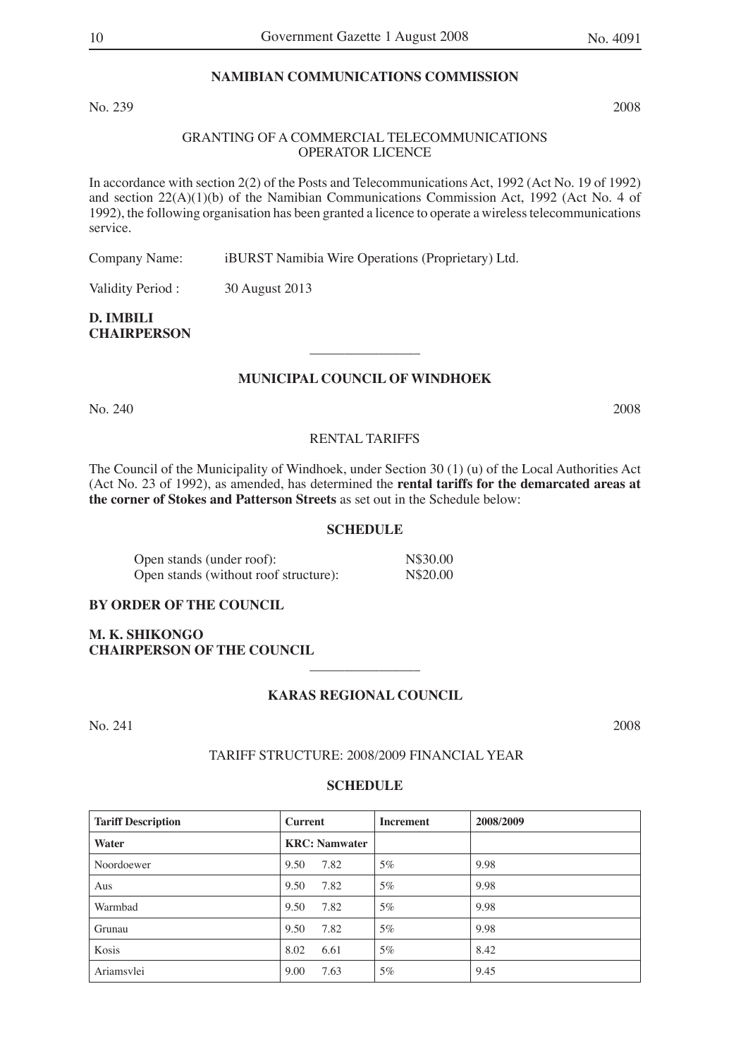#### **NAMIBIAN COMMUNICATIONS COMMISSION**

No. 239 2008

#### GRANTING OF A COMMERCIAL TELECOMMUNICATIONS OPERATOR LICENCE

In accordance with section 2(2) of the Posts and Telecommunications Act, 1992 (Act No. 19 of 1992) and section  $22(A)(1)(b)$  of the Namibian Communications Commission Act, 1992 (Act No. 4 of 1992), the following organisation has been granted a licence to operate a wireless telecommunications service.

Company Name: iBURST Namibia Wire Operations (Proprietary) Ltd.

Validity Period : 30 August 2013

**D. IMBILI CHAIRPERSON**

#### **MUNICIPAL COUNCIL OF WINDHOEK**

 $\overline{\phantom{a}}$  , where  $\overline{\phantom{a}}$ 

No. 240 2008

#### RENTAL TARIFFS

The Council of the Municipality of Windhoek, under Section 30 (1) (u) of the Local Authorities Act (Act No. 23 of 1992), as amended, has determined the **rental tariffs for the demarcated areas at the corner of Stokes and Patterson Streets** as set out in the Schedule below:

#### **SCHEDULE**

| Open stands (under roof):             | N\$30.00 |
|---------------------------------------|----------|
| Open stands (without roof structure): | N\$20.00 |

#### **BY ORDER OF THE COUNCIL**

**M. K. SHIKONGO CHAIRPERSON OF THE COUNCIL**

#### **KARAS REGIONAL COUNCIL**

 $\overline{\phantom{a}}$  , where  $\overline{\phantom{a}}$ 

No. 241 2008

#### TARIFF STRUCTURE: 2008/2009 FINANCIAL YEAR

| <b>Tariff Description</b> | <b>Current</b>        | <b>Increment</b> | 2008/2009 |
|---------------------------|-----------------------|------------------|-----------|
| Water                     | <b>KRC</b> : Namwater |                  |           |
| Noordoewer                | 7.82<br>9.50          | $5\%$            | 9.98      |
| Aus                       | 7.82<br>9.50          | 5%               | 9.98      |
| Warmbad                   | 7.82<br>9.50          | $5\%$            | 9.98      |
| Grunau                    | 7.82<br>9.50          | $5\%$            | 9.98      |
| Kosis                     | 6.61<br>8.02          | $5\%$            | 8.42      |
| Ariamsvlei                | 9.00<br>7.63          | $5\%$            | 9.45      |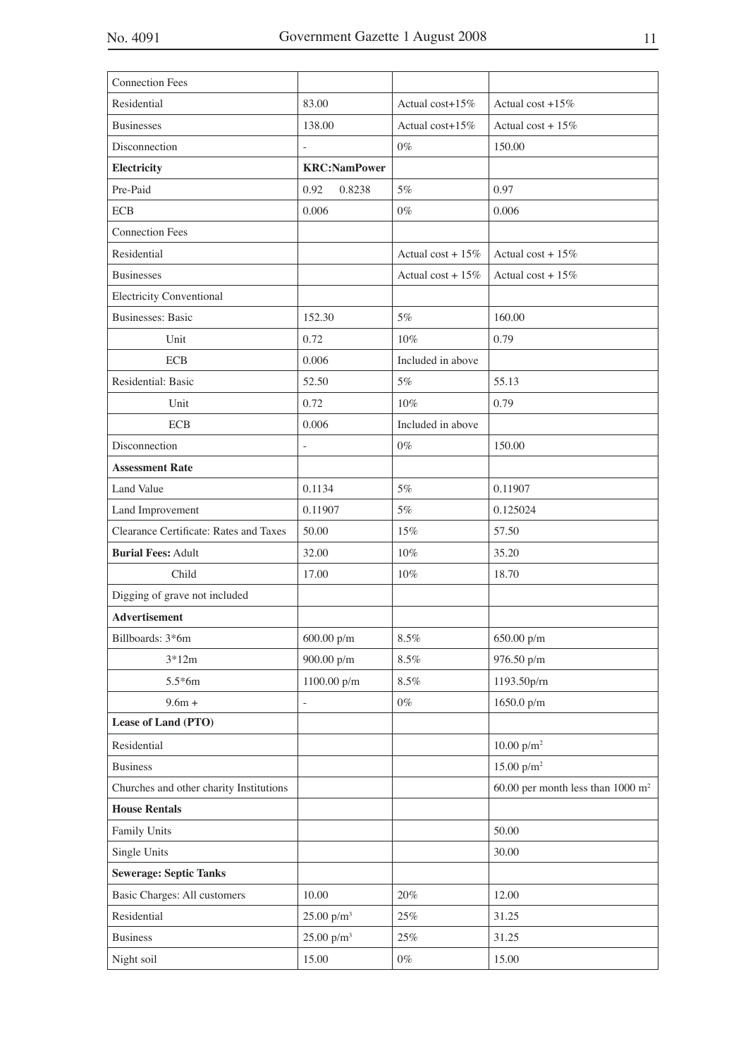| <b>Connection Fees</b>                  |                          |                      |                                     |
|-----------------------------------------|--------------------------|----------------------|-------------------------------------|
| Residential                             | 83.00                    | Actual cost+15%      | Actual cost $+15\%$                 |
| <b>Businesses</b>                       | 138.00                   | Actual cost+15%      | Actual cost + $15%$                 |
| Disconnection                           | $\overline{\phantom{a}}$ | $0\%$                | 150.00                              |
| Electricity                             | <b>KRC:NamPower</b>      |                      |                                     |
| Pre-Paid                                | 0.92<br>0.8238           | 5%                   | 0.97                                |
| <b>ECB</b>                              | 0.006                    | $0\%$                | 0.006                               |
| <b>Connection Fees</b>                  |                          |                      |                                     |
| Residential                             |                          | Actual cost + $15%$  | Actual cost + $15\%$                |
| <b>Businesses</b>                       |                          | Actual cost + $15\%$ | Actual cost + $15\%$                |
| <b>Electricity Conventional</b>         |                          |                      |                                     |
| <b>Businesses: Basic</b>                | 152.30                   | 5%                   | 160.00                              |
| Unit                                    | 0.72                     | 10%                  | 0.79                                |
| <b>ECB</b>                              | 0.006                    | Included in above    |                                     |
| Residential: Basic                      | 52.50                    | 5%                   | 55.13                               |
| Unit                                    | 0.72                     | $10\%$               | 0.79                                |
| <b>ECB</b>                              | 0.006                    | Included in above    |                                     |
| Disconnection                           |                          | $0\%$                | 150.00                              |
| <b>Assessment Rate</b>                  |                          |                      |                                     |
| Land Value                              | 0.1134                   | 5%                   | 0.11907                             |
| Land Improvement                        | 0.11907                  | $5\%$                | 0.125024                            |
| Clearance Certificate: Rates and Taxes  | 50.00                    | 15%                  | 57.50                               |
| <b>Burial Fees: Adult</b>               | 32.00                    | 10%                  | 35.20                               |
| Child                                   | 17.00                    | $10\%$               | 18.70                               |
| Digging of grave not included           |                          |                      |                                     |
| <b>Advertisement</b>                    |                          |                      |                                     |
| Billboards: 3*6m                        | $600.00\ \mathrm{p/m}$   | 8.5%                 | 650.00 p/m                          |
| $3*12m$                                 | 900.00 p/m               | $8.5\%$              | 976.50 p/m                          |
| $5.5*6m$                                | 1100.00 p/m              | $8.5\%$              | 1193.50p/rn                         |
| $9.6m +$                                |                          | $0\%$                | 1650.0 p/m                          |
| Lease of Land (PTO)                     |                          |                      |                                     |
| Residential                             |                          |                      | 10.00 $p/m^2$                       |
| <b>Business</b>                         |                          |                      | 15.00 $p/m^2$                       |
| Churches and other charity Institutions |                          |                      | 60.00 per month less than 1000 $m2$ |
| <b>House Rentals</b>                    |                          |                      |                                     |
| Family Units                            |                          |                      | 50.00                               |
| Single Units                            |                          |                      | 30.00                               |
| <b>Sewerage: Septic Tanks</b>           |                          |                      |                                     |
| <b>Basic Charges: All customers</b>     | 10.00                    | 20%                  | 12.00                               |
| Residential                             | $25.00~\rm{p/m^3}$       | $25\%$               | 31.25                               |
| <b>Business</b>                         | 25.00 $p/m^3$            | 25%                  | 31.25                               |
| Night soil                              | 15.00                    | $0\%$                | 15.00                               |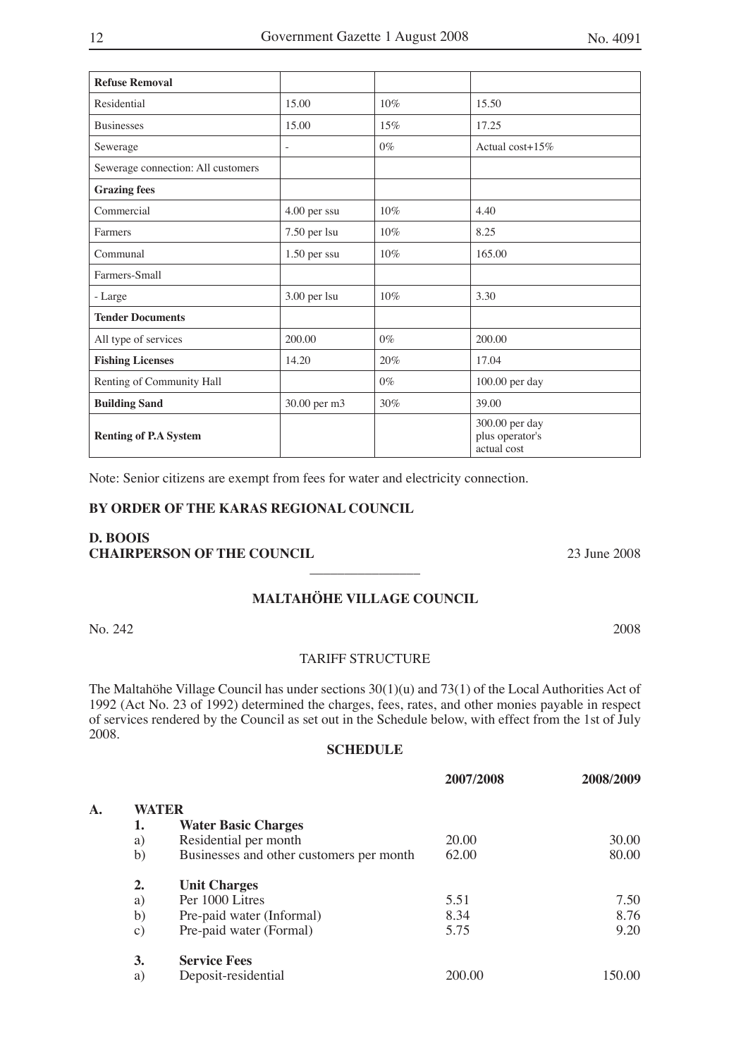| <b>Refuse Removal</b>              |              |       |                                                  |
|------------------------------------|--------------|-------|--------------------------------------------------|
| Residential                        | 15.00        | 10%   | 15.50                                            |
| <b>Businesses</b>                  | 15.00        | 15%   | 17.25                                            |
| Sewerage                           |              | $0\%$ | Actual cost+15%                                  |
| Sewerage connection: All customers |              |       |                                                  |
| <b>Grazing fees</b>                |              |       |                                                  |
| Commercial                         | 4.00 per ssu | 10%   | 4.40                                             |
| Farmers                            | 7.50 per lsu | 10%   | 8.25                                             |
| Communal                           | 1.50 per ssu | 10%   | 165.00                                           |
| Farmers-Small                      |              |       |                                                  |
| - Large                            | 3.00 per lsu | 10%   | 3.30                                             |
| <b>Tender Documents</b>            |              |       |                                                  |
| All type of services               | 200.00       | $0\%$ | 200.00                                           |
| <b>Fishing Licenses</b>            | 14.20        | 20%   | 17.04                                            |
| Renting of Community Hall          |              | $0\%$ | 100.00 per day                                   |
| <b>Building Sand</b>               | 30.00 per m3 | 30%   | 39.00                                            |
| <b>Renting of P.A System</b>       |              |       | 300.00 per day<br>plus operator's<br>actual cost |

Note: Senior citizens are exempt from fees for water and electricity connection.

#### **BY ORDER OF THE KARAS REGIONAL COUNCIL**

#### **D. BOOIS CHAIRPERSON OF THE COUNCIL** 23 June 2008

### **MALTAHÖHE VILLAGE COUNCIL**

 $\overline{\phantom{a}}$  , where  $\overline{\phantom{a}}$ 

No. 242 2008

#### TARIFF STRUCTURE

The Maltahöhe Village Council has under sections 30(1)(u) and 73(1) of the Local Authorities Act of 1992 (Act No. 23 of 1992) determined the charges, fees, rates, and other monies payable in respect of services rendered by the Council as set out in the Schedule below, with effect from the 1st of July 2008.

|                |                  |                                          | 2007/2008 | 2008/2009 |
|----------------|------------------|------------------------------------------|-----------|-----------|
| $\mathbf{A}$ . | WATER            |                                          |           |           |
|                | 1.               | <b>Water Basic Charges</b>               |           |           |
|                | a)               | Residential per month                    | 20.00     | 30.00     |
|                | b)               | Businesses and other customers per month | 62.00     | 80.00     |
|                | $\overline{2}$ . | <b>Unit Charges</b>                      |           |           |
|                | a)               | Per 1000 Litres                          | 5.51      | 7.50      |
|                | b)               | Pre-paid water (Informal)                | 8.34      | 8.76      |
|                | $\mathbf{c})$    | Pre-paid water (Formal)                  | 5.75      | 9.20      |
|                | 3.               | <b>Service Fees</b>                      |           |           |
|                | a)               | Deposit-residential                      | 200.00    | 150.00    |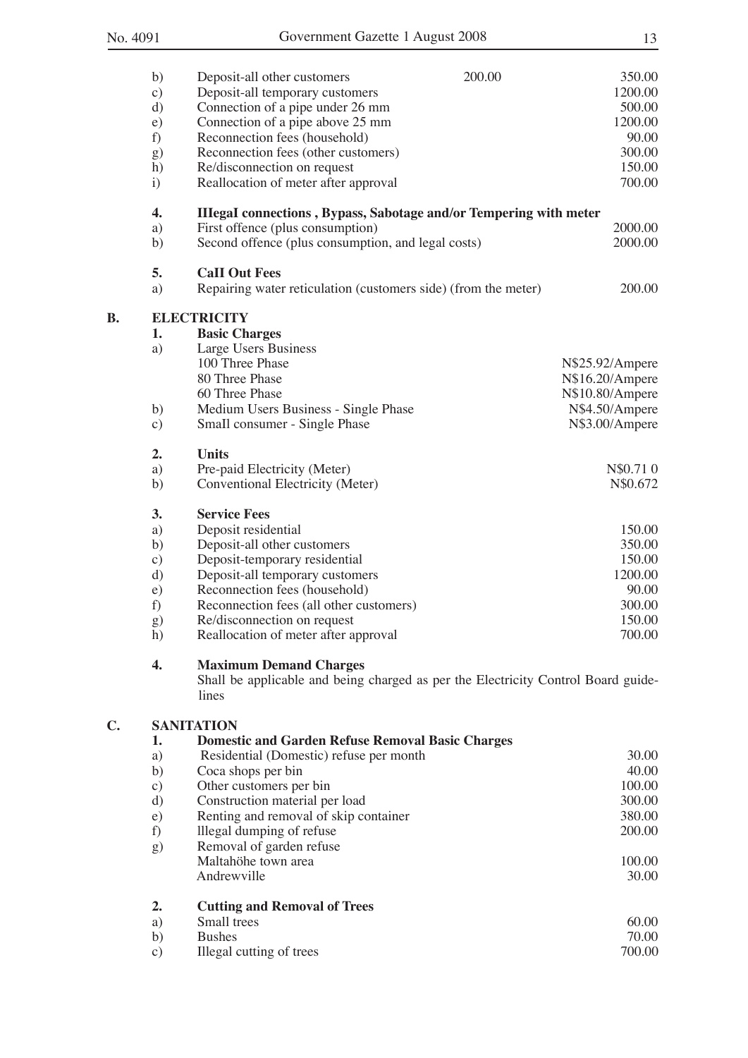**B.** 

**C.** 

|    | b)           | Deposit-all other customers<br>200.00                                                      | 350.00          |
|----|--------------|--------------------------------------------------------------------------------------------|-----------------|
|    | $\circ$ )    | Deposit-all temporary customers                                                            | 1200.00         |
|    | d)           | Connection of a pipe under 26 mm                                                           | 500.00          |
|    | e)           | Connection of a pipe above 25 mm                                                           | 1200.00         |
|    | f)           | Reconnection fees (household)                                                              | 90.00           |
|    | g)           | Reconnection fees (other customers)                                                        | 300.00          |
|    | h)           | Re/disconnection on request                                                                | 150.00          |
|    | $\mathbf{i}$ | Reallocation of meter after approval                                                       | 700.00          |
|    | 4.           | <b>IIIegaI</b> connections, Bypass, Sabotage and/or Tempering with meter                   |                 |
|    | a)           | First offence (plus consumption)                                                           | 2000.00         |
|    | b)           | Second offence (plus consumption, and legal costs)                                         | 2000.00         |
|    | 5.           | <b>CaII Out Fees</b>                                                                       |                 |
|    | a)           | Repairing water reticulation (customers side) (from the meter)                             | 200.00          |
| В. |              | <b>ELECTRICITY</b>                                                                         |                 |
|    | 1.           | <b>Basic Charges</b>                                                                       |                 |
|    | a)           | Large Users Business                                                                       |                 |
|    |              | 100 Three Phase                                                                            | N\$25.92/Ampere |
|    |              | 80 Three Phase                                                                             | N\$16.20/Ampere |
|    |              | 60 Three Phase                                                                             | N\$10.80/Ampere |
|    | b)           | Medium Users Business - Single Phase                                                       | N\$4.50/Ampere  |
|    | $\circ$ )    | Small consumer - Single Phase                                                              | N\$3.00/Ampere  |
|    | 2.           | <b>Units</b>                                                                               |                 |
|    | a)           | Pre-paid Electricity (Meter)                                                               | N\$0.710        |
|    | b)           | Conventional Electricity (Meter)                                                           | N\$0.672        |
|    | 3.           | <b>Service Fees</b>                                                                        |                 |
|    | a)           | Deposit residential                                                                        | 150.00          |
|    | b)           | Deposit-all other customers                                                                | 350.00          |
|    | $\circ$ )    | Deposit-temporary residential                                                              | 150.00          |
|    | d)           | Deposit-all temporary customers                                                            | 1200.00         |
|    | $\epsilon$ ) | Reconnection fees (household)                                                              | 90.00           |
|    | f)           | Reconnection fees (all other customers)                                                    | 300.00          |
|    | g)           | Re/disconnection on request                                                                | 150.00          |
|    | h)           | Reallocation of meter after approval                                                       | 700.00          |
|    | 4.           | <b>Maximum Demand Charges</b>                                                              |                 |
|    |              | Shall be applicable and being charged as per the Electricity Control Board guide-<br>lines |                 |
|    |              |                                                                                            |                 |
| С. | 1.           | <b>SANITATION</b><br><b>Domestic and Garden Refuse Removal Basic Charges</b>               |                 |
|    | a)           | Residential (Domestic) refuse per month                                                    | 30.00           |
|    | b)           | Coca shops per bin                                                                         | 40.00           |
|    | $\circ$ )    | Other customers per bin                                                                    | 100.00          |
|    | d)           | Construction material per load                                                             | 300.00          |
|    | e)           | Renting and removal of skip container                                                      | 380.00          |
|    | f)           | Illegal dumping of refuse                                                                  | 200.00          |
|    | g)           | Removal of garden refuse                                                                   |                 |
|    |              | Maltahöhe town area                                                                        | 100.00          |
|    |              | Andrewville                                                                                | 30.00           |
|    |              |                                                                                            |                 |
|    | 2.<br>a)     | <b>Cutting and Removal of Trees</b><br>Small trees                                         | 60.00           |
|    | b)           | <b>Bushes</b>                                                                              | 70.00           |
|    | $\circ$ )    | Illegal cutting of trees                                                                   | 700.00          |
|    |              |                                                                                            |                 |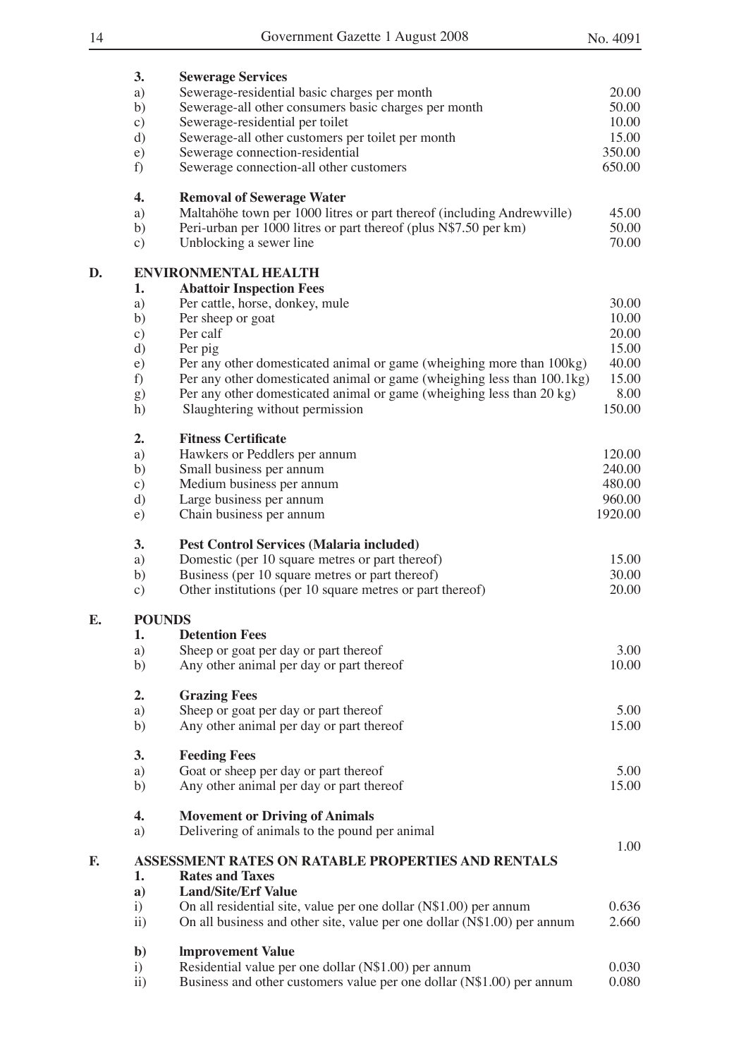|    | 3.                    | <b>Sewerage Services</b>                                                                                                                         |                |
|----|-----------------------|--------------------------------------------------------------------------------------------------------------------------------------------------|----------------|
|    | a)                    | Sewerage-residential basic charges per month                                                                                                     | 20.00          |
|    | b)                    | Sewerage-all other consumers basic charges per month                                                                                             | 50.00          |
|    | $\circ$ )             | Sewerage-residential per toilet                                                                                                                  | 10.00          |
|    | d)                    | Sewerage-all other customers per toilet per month                                                                                                | 15.00          |
|    | e)                    | Sewerage connection-residential                                                                                                                  | 350.00         |
|    | f)                    | Sewerage connection-all other customers                                                                                                          | 650.00         |
|    | 4.                    | <b>Removal of Sewerage Water</b>                                                                                                                 |                |
|    | a)                    | Maltahöhe town per 1000 litres or part thereof (including Andrewville)                                                                           | 45.00          |
|    | b)                    | Peri-urban per 1000 litres or part thereof (plus N\$7.50 per km)                                                                                 | 50.00          |
|    | $\circ$ )             | Unblocking a sewer line                                                                                                                          | 70.00          |
| D. |                       | <b>ENVIRONMENTAL HEALTH</b>                                                                                                                      |                |
|    | 1.                    | <b>Abattoir Inspection Fees</b>                                                                                                                  |                |
|    | a)                    | Per cattle, horse, donkey, mule                                                                                                                  | 30.00          |
|    | b)                    | Per sheep or goat                                                                                                                                | 10.00          |
|    | $\circ$ )             | Per calf                                                                                                                                         | 20.00          |
|    | d)                    | Per pig                                                                                                                                          | 15.00          |
|    | $\epsilon$ )          | Per any other domesticated animal or game (wheighing more than 100kg)                                                                            | 40.00<br>15.00 |
|    | f)                    | Per any other domesticated animal or game (wheighing less than 100.1kg)<br>Per any other domesticated animal or game (wheighing less than 20 kg) | 8.00           |
|    | g)<br>h)              | Slaughtering without permission                                                                                                                  | 150.00         |
|    |                       |                                                                                                                                                  |                |
|    | 2.                    | <b>Fitness Certificate</b>                                                                                                                       |                |
|    | a)                    | Hawkers or Peddlers per annum                                                                                                                    | 120.00         |
|    | b)                    | Small business per annum                                                                                                                         | 240.00         |
|    | $\circ$ )             | Medium business per annum                                                                                                                        | 480.00         |
|    | d)                    | Large business per annum                                                                                                                         | 960.00         |
|    | e)                    | Chain business per annum                                                                                                                         | 1920.00        |
|    | 3.                    | <b>Pest Control Services (Malaria included)</b>                                                                                                  |                |
|    | a)                    | Domestic (per 10 square metres or part thereof)                                                                                                  | 15.00          |
|    | b)                    | Business (per 10 square metres or part thereof)                                                                                                  | 30.00          |
|    | $\circ$ )             | Other institutions (per 10 square metres or part thereof)                                                                                        | 20.00          |
| Е. | <b>POUNDS</b>         |                                                                                                                                                  |                |
|    | 1.                    | <b>Detention Fees</b>                                                                                                                            |                |
|    | a)                    | Sheep or goat per day or part thereof                                                                                                            | 3.00           |
|    | b)                    | Any other animal per day or part thereof                                                                                                         | 10.00          |
|    | 2.                    | <b>Grazing Fees</b>                                                                                                                              |                |
|    | a)                    | Sheep or goat per day or part thereof                                                                                                            | 5.00           |
|    | b)                    | Any other animal per day or part thereof                                                                                                         | 15.00          |
|    | 3.                    | <b>Feeding Fees</b>                                                                                                                              |                |
|    | a)                    | Goat or sheep per day or part thereof                                                                                                            | 5.00           |
|    | b)                    | Any other animal per day or part thereof                                                                                                         | 15.00          |
|    | 4.<br>a)              | <b>Movement or Driving of Animals</b><br>Delivering of animals to the pound per animal                                                           |                |
| F. |                       | ASSESSMENT RATES ON RATABLE PROPERTIES AND RENTALS                                                                                               | 1.00           |
|    | 1.                    | <b>Rates and Taxes</b>                                                                                                                           |                |
|    | a)                    | <b>Land/Site/Erf Value</b>                                                                                                                       |                |
|    | $\mathbf{i}$          | On all residential site, value per one dollar (N\$1.00) per annum                                                                                | 0.636          |
|    | $\ddot{11})$          | On all business and other site, value per one dollar (N\$1.00) per annum                                                                         | 2.660          |
|    |                       |                                                                                                                                                  |                |
|    | $\mathbf{b}$          | <b>Improvement Value</b>                                                                                                                         |                |
|    | i)                    | Residential value per one dollar (N\$1.00) per annum                                                                                             | 0.030          |
|    | $\ddot{\mathrm{11}})$ | Business and other customers value per one dollar (N\$1.00) per annum                                                                            | 0.080          |
|    |                       |                                                                                                                                                  |                |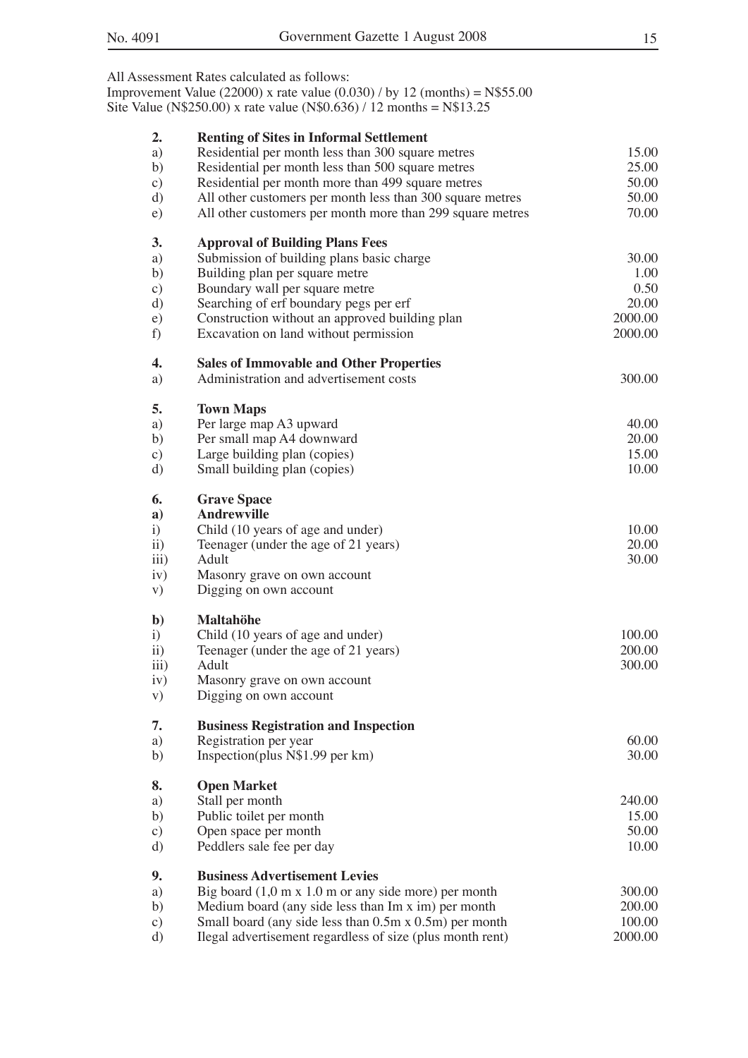|                  | All Assessment Rates calculated as follows:                                 |         |
|------------------|-----------------------------------------------------------------------------|---------|
|                  | Improvement Value (22000) x rate value (0.030) / by 12 (months) = $N$55.00$ |         |
|                  | Site Value (N\$250.00) x rate value (N\$0.636) / 12 months = N\$13.25       |         |
|                  |                                                                             |         |
| 2.               | <b>Renting of Sites in Informal Settlement</b>                              |         |
| a)               | Residential per month less than 300 square metres                           | 15.00   |
| b)               | Residential per month less than 500 square metres                           | 25.00   |
|                  | Residential per month more than 499 square metres                           | 50.00   |
| $\circ$ )        |                                                                             |         |
| d)               | All other customers per month less than 300 square metres                   | 50.00   |
| $\epsilon$ )     | All other customers per month more than 299 square metres                   | 70.00   |
| 3.               | <b>Approval of Building Plans Fees</b>                                      |         |
| a)               | Submission of building plans basic charge                                   | 30.00   |
| b)               | Building plan per square metre                                              | 1.00    |
| $\circ$ )        | Boundary wall per square metre                                              | 0.50    |
| d)               | Searching of erf boundary pegs per erf                                      | 20.00   |
| e)               | Construction without an approved building plan                              | 2000.00 |
| f)               | Excavation on land without permission                                       | 2000.00 |
| 4.               |                                                                             |         |
|                  | <b>Sales of Immovable and Other Properties</b>                              |         |
| a)               | Administration and advertisement costs                                      | 300.00  |
| 5.               | <b>Town Maps</b>                                                            |         |
| a)               | Per large map A3 upward                                                     | 40.00   |
| b)               | Per small map A4 downward                                                   | 20.00   |
| $\circ$ )        | Large building plan (copies)                                                | 15.00   |
| d)               | Small building plan (copies)                                                | 10.00   |
| 6.               | <b>Grave Space</b>                                                          |         |
| a)               | <b>Andrewville</b>                                                          |         |
|                  |                                                                             | 10.00   |
| $\ddot{i}$       | Child (10 years of age and under)                                           |         |
| $\overline{11}$  | Teenager (under the age of 21 years)                                        | 20.00   |
| $\overline{iii}$ | Adult                                                                       | 30.00   |
| iv)              | Masonry grave on own account                                                |         |
| V)               | Digging on own account                                                      |         |
| $\mathbf{b}$     | <b>Maltahöhe</b>                                                            |         |
| $\mathbf{i}$     | Child (10 years of age and under)                                           | 100.00  |
| $\ddot{11})$     | Teenager (under the age of 21 years)                                        | 200.00  |
| $\overline{iii}$ | Adult                                                                       | 300.00  |
| iv)              | Masonry grave on own account                                                |         |
| V)               | Digging on own account                                                      |         |
| 7.               |                                                                             |         |
|                  | <b>Business Registration and Inspection</b>                                 |         |
| a)               | Registration per year                                                       | 60.00   |
| b)               | Inspection(plus N\$1.99 per km)                                             | 30.00   |
| 8.               | <b>Open Market</b>                                                          |         |
| a)               | Stall per month                                                             | 240.00  |
| b)               | Public toilet per month                                                     | 15.00   |
| $\mathbf{c})$    | Open space per month                                                        | 50.00   |
| d)               | Peddlers sale fee per day                                                   | 10.00   |
| 9.               | <b>Business Advertisement Levies</b>                                        |         |
| a)               | Big board $(1,0 \text{ m x } 1.0 \text{ m or any side more})$ per month     | 300.00  |
| b)               | Medium board (any side less than Im x im) per month                         | 200.00  |
|                  |                                                                             | 100.00  |
| $\circ$ )        | Small board (any side less than 0.5m x 0.5m) per month                      |         |
| d)               | Ilegal advertisement regardless of size (plus month rent)                   | 2000.00 |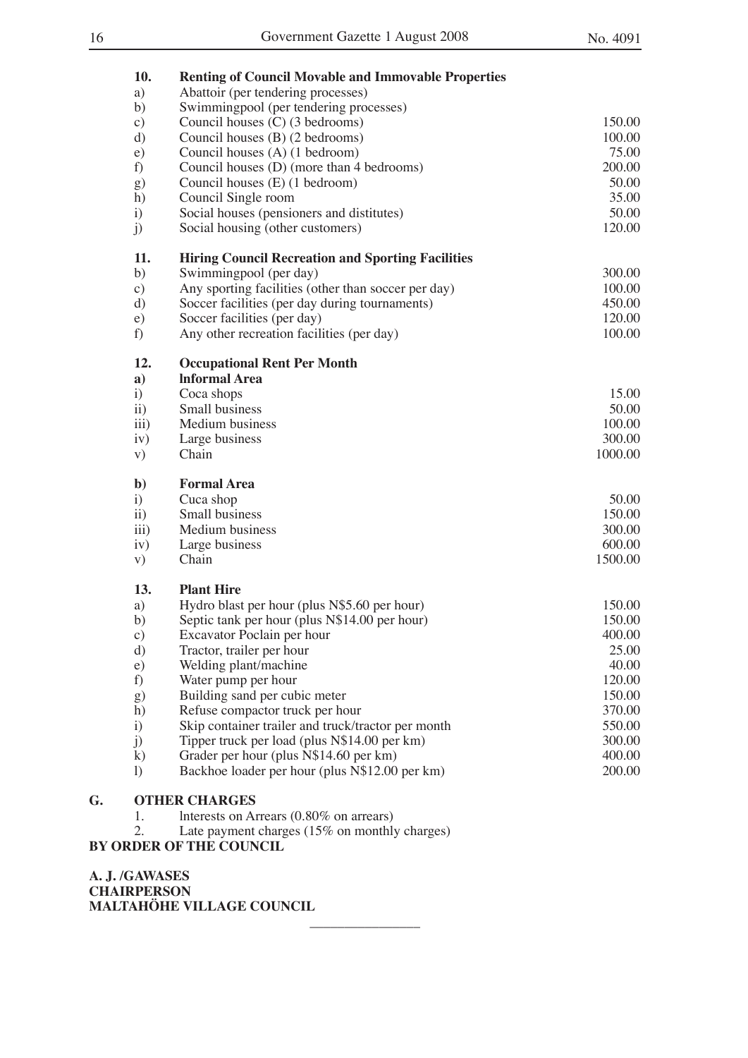|    | 10.              | <b>Renting of Council Movable and Immovable Properties</b> |         |
|----|------------------|------------------------------------------------------------|---------|
|    | a)               | Abattoir (per tendering processes)                         |         |
|    | b)               | Swimmingpool (per tendering processes)                     |         |
|    | $\circ$ )        | Council houses (C) (3 bedrooms)                            | 150.00  |
|    | d)               | Council houses (B) (2 bedrooms)                            | 100.00  |
|    | $\epsilon$ )     | Council houses (A) (1 bedroom)                             | 75.00   |
|    | f)               | Council houses (D) (more than 4 bedrooms)                  | 200.00  |
|    | g)               | Council houses (E) (1 bedroom)                             | 50.00   |
|    | h)               | Council Single room                                        | 35.00   |
|    | $\ddot{1}$       | Social houses (pensioners and distitutes)                  | 50.00   |
|    | j)               | Social housing (other customers)                           | 120.00  |
|    | 11.              | <b>Hiring Council Recreation and Sporting Facilities</b>   |         |
|    | b)               | Swimmingpool (per day)                                     | 300.00  |
|    | $\circ$ )        | Any sporting facilities (other than soccer per day)        | 100.00  |
|    | d)               | Soccer facilities (per day during tournaments)             | 450.00  |
|    | e)               | Soccer facilities (per day)                                | 120.00  |
|    | f)               | Any other recreation facilities (per day)                  | 100.00  |
|    | 12.              | <b>Occupational Rent Per Month</b>                         |         |
|    | $\mathbf{a}$     | <b>Informal Area</b>                                       |         |
|    | $\ddot{i}$       | Coca shops                                                 | 15.00   |
|    | $\rm ii)$        | Small business                                             | 50.00   |
|    | $\overline{iii}$ | Medium business                                            | 100.00  |
|    | iv)              | Large business                                             | 300.00  |
|    | V)               | Chain                                                      | 1000.00 |
|    | $\mathbf{b}$     | <b>Formal Area</b>                                         |         |
|    | i)               | Cuca shop                                                  | 50.00   |
|    | $\rm ii)$        | Small business                                             | 150.00  |
|    | $\overline{iii}$ | Medium business                                            | 300.00  |
|    | iv)              | Large business                                             | 600.00  |
|    | V)               | Chain                                                      | 1500.00 |
|    | 13.              | <b>Plant Hire</b>                                          |         |
|    | a)               | Hydro blast per hour (plus N\$5.60 per hour)               | 150.00  |
|    | b)               | Septic tank per hour (plus N\$14.00 per hour)              | 150.00  |
|    | c)               | Excavator Poclain per hour                                 | 400.00  |
|    | d)               | Tractor, trailer per hour                                  | 25.00   |
|    | e)               | Welding plant/machine                                      | 40.00   |
|    | f)               | Water pump per hour                                        | 120.00  |
|    | g)               | Building sand per cubic meter                              | 150.00  |
|    | h)               | Refuse compactor truck per hour                            | 370.00  |
|    | $\ddot{i}$       | Skip container trailer and truck/tractor per month         | 550.00  |
|    | j)               | Tipper truck per load (plus N\$14.00 per km)               | 300.00  |
|    | $\bf k)$         | Grader per hour (plus N\$14.60 per km)                     | 400.00  |
|    | $\left( \right)$ | Backhoe loader per hour (plus N\$12.00 per km)             | 200.00  |
| G. |                  | <b>OTHER CHARGES</b>                                       |         |

1. lnterests on Arrears (0.80% on arrears)

2. Late payment charges (15% on monthly charges)

 $\overline{\phantom{a}}$  , where  $\overline{\phantom{a}}$ 

### **BY ORDER OF THE COUNCIL**

**A. J. /GAWASES CHAIRPERSON MALTAHÖHE VILLAGE COUNCIL**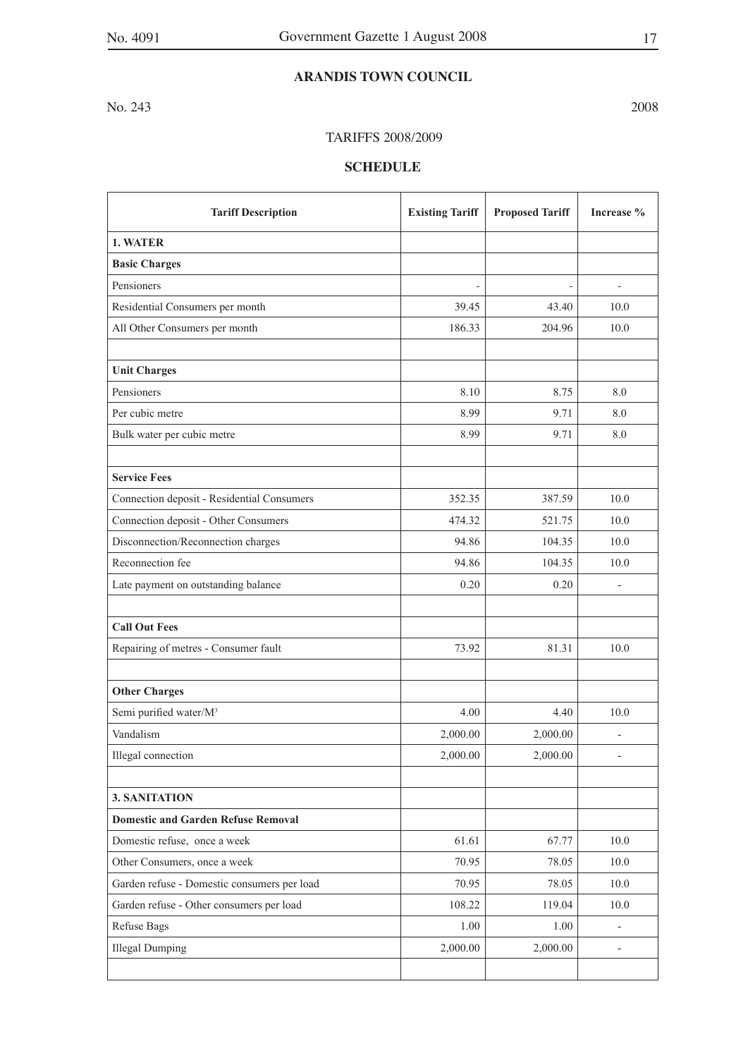### **ARANDIS TOWN COUNCIL**

No. 243 2008

### TARIFFS 2008/2009

| <b>Tariff Description</b>                   | <b>Existing Tariff</b> | <b>Proposed Tariff</b> | Increase %               |
|---------------------------------------------|------------------------|------------------------|--------------------------|
| 1. WATER                                    |                        |                        |                          |
| <b>Basic Charges</b>                        |                        |                        |                          |
| Pensioners                                  |                        |                        |                          |
| Residential Consumers per month             | 39.45                  | 43.40                  | 10.0                     |
| All Other Consumers per month               | 186.33                 | 204.96                 | 10.0                     |
|                                             |                        |                        |                          |
| <b>Unit Charges</b>                         |                        |                        |                          |
| Pensioners                                  | 8.10                   | 8.75                   | 8.0                      |
| Per cubic metre                             | 8.99                   | 9.71                   | 8.0                      |
| Bulk water per cubic metre                  | 8.99                   | 9.71                   | 8.0                      |
|                                             |                        |                        |                          |
| <b>Service Fees</b>                         |                        |                        |                          |
| Connection deposit - Residential Consumers  | 352.35                 | 387.59                 | 10.0                     |
| Connection deposit - Other Consumers        | 474.32                 | 521.75                 | 10.0                     |
| Disconnection/Reconnection charges          | 94.86                  | 104.35                 | 10.0                     |
| Reconnection fee                            | 94.86                  | 104.35                 | 10.0                     |
| Late payment on outstanding balance         | 0.20                   | 0.20                   |                          |
|                                             |                        |                        |                          |
| <b>Call Out Fees</b>                        |                        |                        |                          |
| Repairing of metres - Consumer fault        | 73.92                  | 81.31                  | 10.0                     |
|                                             |                        |                        |                          |
| <b>Other Charges</b>                        |                        |                        |                          |
| Semi purified water/M <sup>3</sup>          | 4.00                   | 4.40                   | 10.0                     |
| Vandalism                                   | 2,000.00               | 2,000.00               |                          |
| Illegal connection                          | 2,000.00               | 2,000.00               |                          |
|                                             |                        |                        |                          |
| 3. SANITATION                               |                        |                        |                          |
| <b>Domestic and Garden Refuse Removal</b>   |                        |                        |                          |
| Domestic refuse, once a week                | 61.61                  | 67.77                  | $10.0\,$                 |
| Other Consumers, once a week                | 70.95                  | 78.05                  | 10.0                     |
| Garden refuse - Domestic consumers per load | 70.95                  | 78.05                  | $10.0$                   |
| Garden refuse - Other consumers per load    | 108.22                 | 119.04                 | $10.0$                   |
| Refuse Bags                                 | 1.00                   | 1.00                   | $\overline{\phantom{a}}$ |
| <b>Illegal Dumping</b>                      | 2,000.00               | 2,000.00               |                          |
|                                             |                        |                        |                          |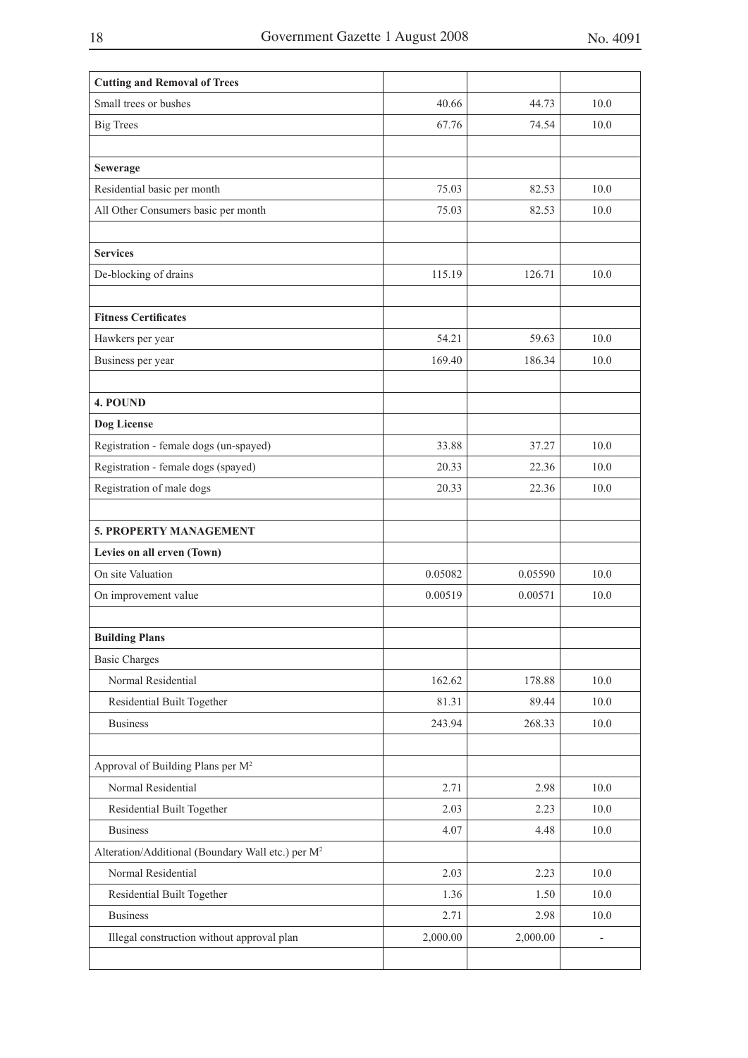| <b>Cutting and Removal of Trees</b>                           |          |          |                          |
|---------------------------------------------------------------|----------|----------|--------------------------|
| Small trees or bushes                                         | 40.66    | 44.73    | 10.0                     |
| <b>Big Trees</b>                                              | 67.76    | 74.54    | 10.0                     |
|                                                               |          |          |                          |
| Sewerage                                                      |          |          |                          |
| Residential basic per month                                   | 75.03    | 82.53    | 10.0                     |
| All Other Consumers basic per month                           | 75.03    | 82.53    | 10.0                     |
|                                                               |          |          |                          |
| <b>Services</b>                                               |          |          |                          |
| De-blocking of drains                                         | 115.19   | 126.71   | 10.0                     |
|                                                               |          |          |                          |
| <b>Fitness Certificates</b>                                   |          |          |                          |
| Hawkers per year                                              | 54.21    | 59.63    | 10.0                     |
| Business per year                                             | 169.40   | 186.34   | 10.0                     |
|                                                               |          |          |                          |
| 4. POUND                                                      |          |          |                          |
| Dog License                                                   |          |          |                          |
| Registration - female dogs (un-spayed)                        | 33.88    | 37.27    | 10.0                     |
| Registration - female dogs (spayed)                           | 20.33    | 22.36    | 10.0                     |
| Registration of male dogs                                     | 20.33    | 22.36    | 10.0                     |
|                                                               |          |          |                          |
| 5. PROPERTY MANAGEMENT                                        |          |          |                          |
| Levies on all erven (Town)                                    |          |          |                          |
| On site Valuation                                             | 0.05082  | 0.05590  | 10.0                     |
| On improvement value                                          | 0.00519  | 0.00571  | 10.0                     |
|                                                               |          |          |                          |
| <b>Building Plans</b>                                         |          |          |                          |
| <b>Basic Charges</b>                                          |          |          |                          |
| Normal Residential                                            | 162.62   | 178.88   | 10.0                     |
| Residential Built Together                                    | 81.31    | 89.44    | 10.0                     |
| <b>Business</b>                                               | 243.94   | 268.33   | 10.0                     |
|                                                               |          |          |                          |
| Approval of Building Plans per M <sup>2</sup>                 |          |          |                          |
| Normal Residential                                            | 2.71     | 2.98     | $10.0\,$                 |
| Residential Built Together                                    | 2.03     | 2.23     | 10.0                     |
| <b>Business</b>                                               | 4.07     | 4.48     | 10.0                     |
| Alteration/Additional (Boundary Wall etc.) per M <sup>2</sup> |          |          |                          |
| Normal Residential                                            | 2.03     | 2.23     | $10.0\,$                 |
| Residential Built Together                                    | 1.36     | 1.50     | 10.0                     |
| <b>Business</b>                                               | 2.71     | 2.98     | 10.0                     |
| Illegal construction without approval plan                    | 2,000.00 | 2,000.00 | $\overline{\phantom{a}}$ |
|                                                               |          |          |                          |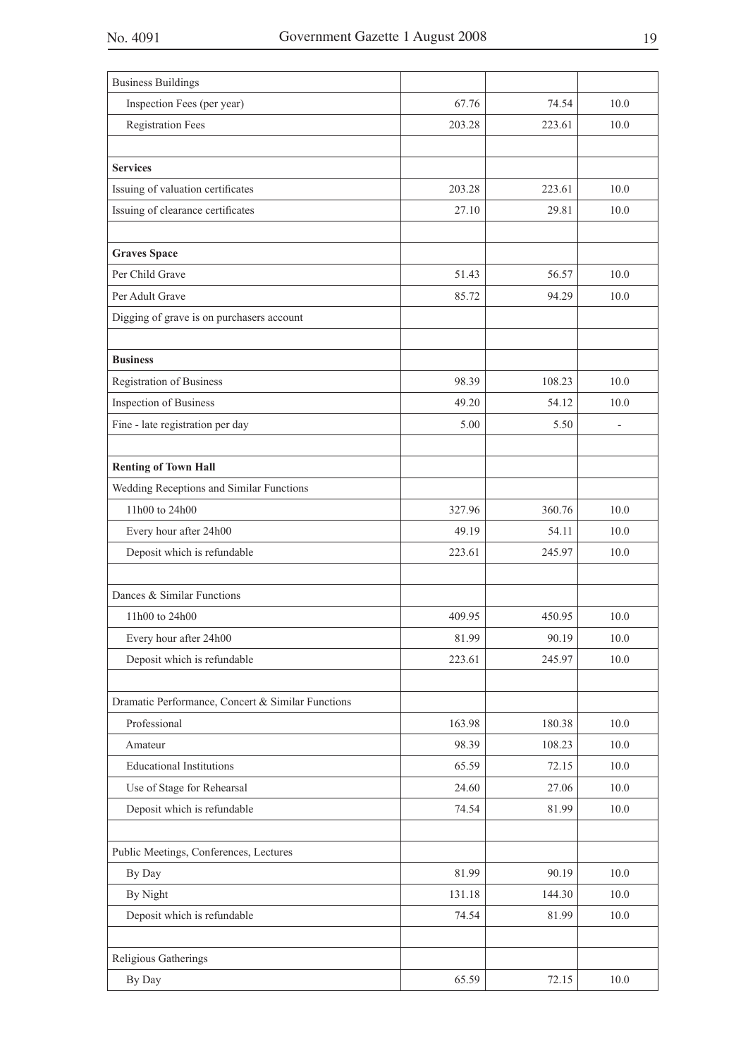| <b>Business Buildings</b>                         |        |        |        |
|---------------------------------------------------|--------|--------|--------|
| Inspection Fees (per year)                        | 67.76  | 74.54  | 10.0   |
| <b>Registration Fees</b>                          | 203.28 | 223.61 | 10.0   |
|                                                   |        |        |        |
| <b>Services</b>                                   |        |        |        |
| Issuing of valuation certificates                 | 203.28 | 223.61 | 10.0   |
| Issuing of clearance certificates                 | 27.10  | 29.81  | 10.0   |
|                                                   |        |        |        |
| <b>Graves Space</b>                               |        |        |        |
| Per Child Grave                                   | 51.43  | 56.57  | 10.0   |
| Per Adult Grave                                   | 85.72  | 94.29  | 10.0   |
| Digging of grave is on purchasers account         |        |        |        |
|                                                   |        |        |        |
| <b>Business</b>                                   |        |        |        |
| Registration of Business                          | 98.39  | 108.23 | 10.0   |
| Inspection of Business                            | 49.20  | 54.12  | 10.0   |
| Fine - late registration per day                  | 5.00   | 5.50   |        |
|                                                   |        |        |        |
| <b>Renting of Town Hall</b>                       |        |        |        |
| Wedding Receptions and Similar Functions          |        |        |        |
| 11h00 to 24h00                                    | 327.96 | 360.76 | 10.0   |
| Every hour after 24h00                            | 49.19  | 54.11  | 10.0   |
| Deposit which is refundable                       | 223.61 | 245.97 | 10.0   |
|                                                   |        |        |        |
| Dances & Similar Functions                        |        |        |        |
| 11h00 to 24h00                                    | 409.95 | 450.95 | 10.0   |
| Every hour after 24h00                            | 81.99  | 90.19  | 10.0   |
| Deposit which is refundable                       | 223.61 | 245.97 | $10.0$ |
|                                                   |        |        |        |
| Dramatic Performance, Concert & Similar Functions |        |        |        |
| Professional                                      | 163.98 | 180.38 | 10.0   |
| Amateur                                           | 98.39  | 108.23 | 10.0   |
| <b>Educational Institutions</b>                   | 65.59  | 72.15  | 10.0   |
| Use of Stage for Rehearsal                        | 24.60  | 27.06  | $10.0$ |
| Deposit which is refundable                       | 74.54  | 81.99  | $10.0$ |
| Public Meetings, Conferences, Lectures            |        |        |        |
| By Day                                            | 81.99  | 90.19  | 10.0   |
| By Night                                          | 131.18 | 144.30 | 10.0   |
| Deposit which is refundable                       | 74.54  | 81.99  | $10.0$ |
|                                                   |        |        |        |
| Religious Gatherings                              |        |        |        |
| By Day                                            | 65.59  | 72.15  | $10.0$ |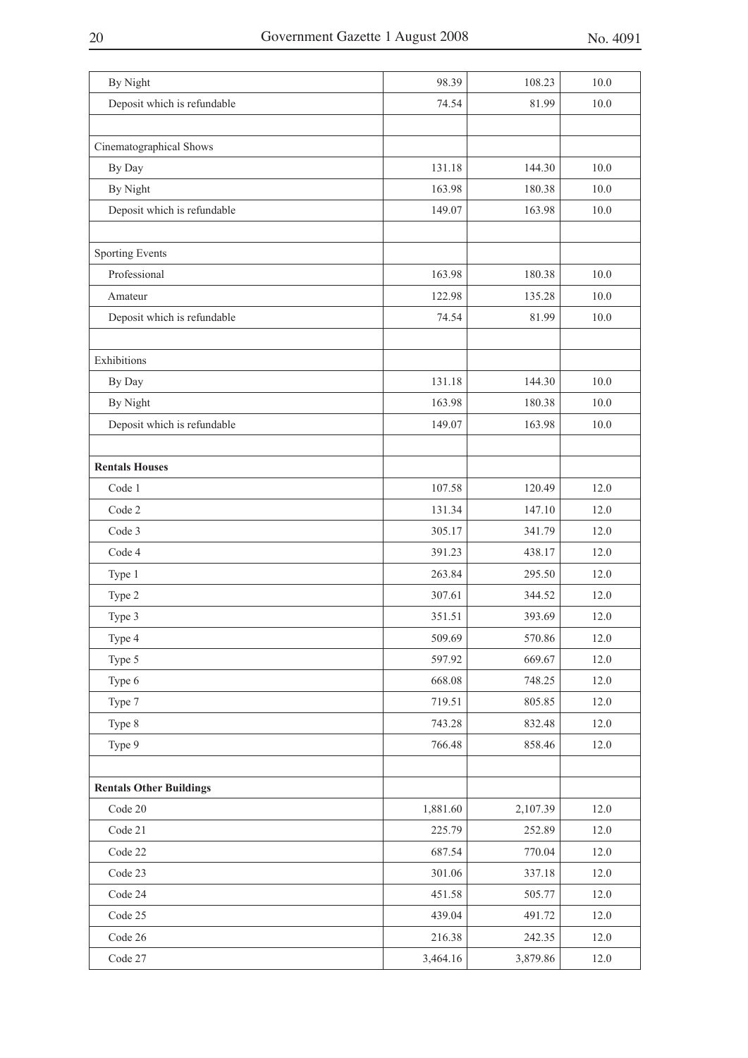| By Night                       | 98.39    | 108.23   | 10.0 |
|--------------------------------|----------|----------|------|
| Deposit which is refundable    | 74.54    | 81.99    | 10.0 |
|                                |          |          |      |
| Cinematographical Shows        |          |          |      |
| By Day                         | 131.18   | 144.30   | 10.0 |
| By Night                       | 163.98   | 180.38   | 10.0 |
| Deposit which is refundable    | 149.07   | 163.98   | 10.0 |
|                                |          |          |      |
| Sporting Events                |          |          |      |
| Professional                   | 163.98   | 180.38   | 10.0 |
| Amateur                        | 122.98   | 135.28   | 10.0 |
| Deposit which is refundable    | 74.54    | 81.99    | 10.0 |
|                                |          |          |      |
| Exhibitions                    |          |          |      |
| By Day                         | 131.18   | 144.30   | 10.0 |
| By Night                       | 163.98   | 180.38   | 10.0 |
| Deposit which is refundable    | 149.07   | 163.98   | 10.0 |
|                                |          |          |      |
| <b>Rentals Houses</b>          |          |          |      |
| Code 1                         | 107.58   | 120.49   | 12.0 |
| Code 2                         | 131.34   | 147.10   | 12.0 |
| Code 3                         | 305.17   | 341.79   | 12.0 |
| Code 4                         | 391.23   | 438.17   | 12.0 |
| Type 1                         | 263.84   | 295.50   | 12.0 |
| Type 2                         | 307.61   | 344.52   | 12.0 |
| Type 3                         | 351.51   | 393.69   | 12.0 |
| Type 4                         | 509.69   | 570.86   | 12.0 |
| Type 5                         | 597.92   | 669.67   | 12.0 |
| Type 6                         | 668.08   | 748.25   | 12.0 |
| Type 7                         | 719.51   | 805.85   | 12.0 |
| Type 8                         | 743.28   | 832.48   | 12.0 |
| Type 9                         | 766.48   | 858.46   | 12.0 |
|                                |          |          |      |
| <b>Rentals Other Buildings</b> |          |          |      |
| Code 20                        | 1,881.60 | 2,107.39 | 12.0 |
| Code 21                        | 225.79   | 252.89   | 12.0 |
| Code 22                        | 687.54   | 770.04   | 12.0 |
| Code 23                        | 301.06   | 337.18   | 12.0 |
| Code 24                        | 451.58   | 505.77   | 12.0 |
| Code 25                        | 439.04   | 491.72   | 12.0 |
| Code 26                        | 216.38   | 242.35   | 12.0 |
| Code 27                        | 3,464.16 | 3,879.86 | 12.0 |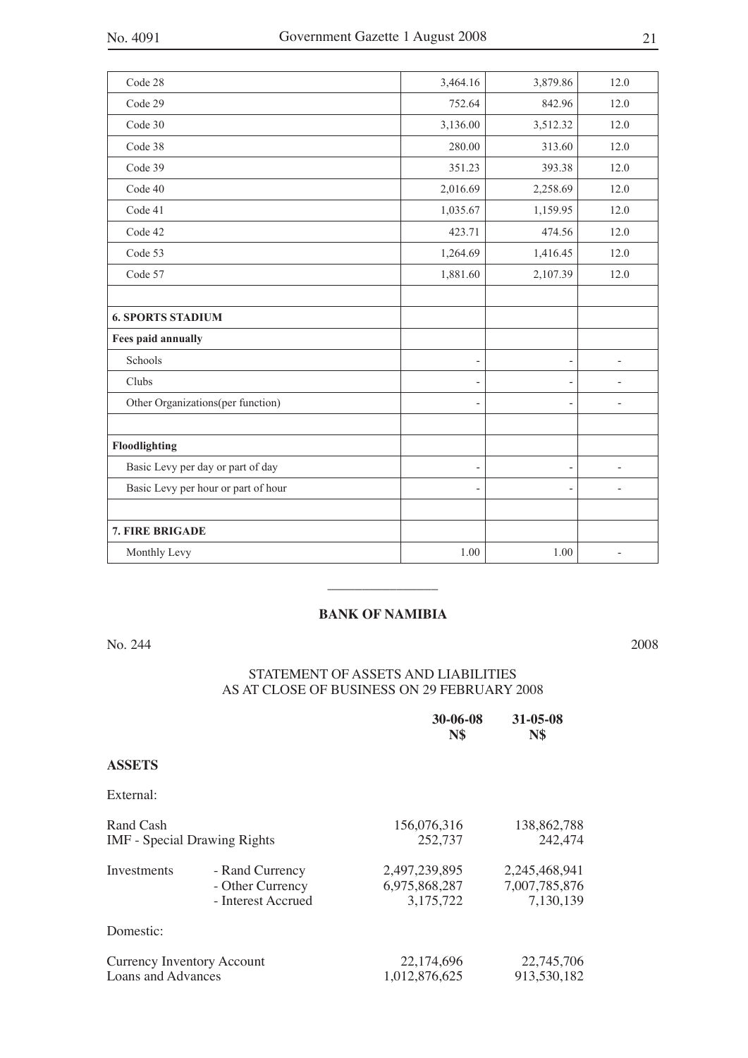| Code 28                             | 3,464.16                 | 3,879.86                 | 12.0                     |
|-------------------------------------|--------------------------|--------------------------|--------------------------|
| Code 29                             | 752.64                   | 842.96                   | 12.0                     |
| Code 30                             | 3,136.00                 | 3,512.32                 | 12.0                     |
| Code 38                             | 280.00                   | 313.60                   | 12.0                     |
| Code 39                             | 351.23                   | 393.38                   | 12.0                     |
| Code 40                             | 2,016.69                 | 2,258.69                 | 12.0                     |
| Code 41                             | 1,035.67                 | 1,159.95                 | 12.0                     |
| Code 42                             | 423.71                   | 474.56                   | 12.0                     |
| Code 53                             | 1,264.69                 | 1,416.45                 | 12.0                     |
| Code 57                             | 1,881.60                 | 2,107.39                 | 12.0                     |
|                                     |                          |                          |                          |
| <b>6. SPORTS STADIUM</b>            |                          |                          |                          |
| Fees paid annually                  |                          |                          |                          |
| Schools                             | $\overline{\phantom{a}}$ | $\overline{\phantom{0}}$ | $\overline{a}$           |
| Clubs                               | $\overline{\phantom{a}}$ | $\overline{\phantom{a}}$ |                          |
| Other Organizations(per function)   | $\overline{\phantom{a}}$ | $\overline{\phantom{0}}$ | $\overline{\phantom{0}}$ |
|                                     |                          |                          |                          |
| Floodlighting                       |                          |                          |                          |
| Basic Levy per day or part of day   | $\overline{\phantom{a}}$ | $\qquad \qquad -$        | $\overline{\phantom{0}}$ |
| Basic Levy per hour or part of hour | $\overline{\phantom{a}}$ |                          | $\overline{a}$           |
|                                     |                          |                          |                          |
| 7. FIRE BRIGADE                     |                          |                          |                          |
| Monthly Levy                        | 1.00                     | 1.00                     |                          |
|                                     |                          |                          |                          |

### **BANK OF NAMIBIA**

 $\overline{\phantom{a}}$  , where  $\overline{\phantom{a}}$ 

No. 244 2008

#### STATEMENT OF ASSETS AND LIABILITIES AS AT CLOSE OF BUSINESS ON 29 FEBRUARY 2008

|                                                                |                                                           | 30-06-08<br><b>N\$</b>                      | $31 - 05 - 08$<br><b>N\$</b>                |
|----------------------------------------------------------------|-----------------------------------------------------------|---------------------------------------------|---------------------------------------------|
| <b>ASSETS</b>                                                  |                                                           |                                             |                                             |
| External:                                                      |                                                           |                                             |                                             |
| Rand Cash                                                      | <b>IMF</b> - Special Drawing Rights                       | 156,076,316<br>252,737                      | 138,862,788<br>242,474                      |
| Investments                                                    | - Rand Currency<br>- Other Currency<br>- Interest Accrued | 2,497,239,895<br>6,975,868,287<br>3,175,722 | 2,245,468,941<br>7,007,785,876<br>7,130,139 |
| Domestic:                                                      |                                                           |                                             |                                             |
| <b>Currency Inventory Account</b><br><b>Loans and Advances</b> |                                                           | 22,174,696<br>1,012,876,625                 | 22,745,706<br>913,530,182                   |